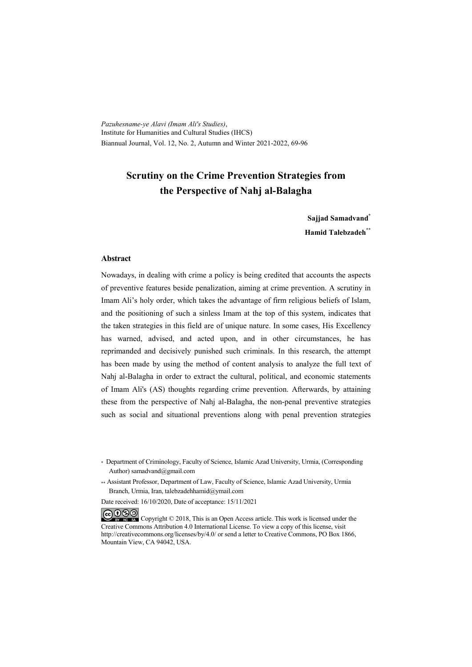*Pazuhesname-ye Alavi (Imam Ali's Studies)*, Institute for Humanities and Cultural Studies (IHCS) Biannual Journal, Vol. 12, No. 2, Autumn and Winter 2021-2022, 69-96

# **Scrutiny on the Crime Prevention Strategies from the Perspective of Nahj al-Balagha**

**Sajjad Samadvand\* Hamid Talebzadeh\*\***

#### **Abstract**

Nowadays, in dealing with crime a policy is being credited that accounts the aspects of preventive features beside penalization, aiming at crime prevention. A scrutiny in Imam Ali's holy order, which takes the advantage of firm religious beliefs of Islam, and the positioning of such a sinless Imam at the top of this system, indicates that the taken strategies in this field are of unique nature. In some cases, His Excellency has warned, advised, and acted upon, and in other circumstances, he has reprimanded and decisively punished such criminals. In this research, the attempt has been made by using the method of content analysis to analyze the full text of Nahj al-Balagha in order to extract the cultural, political, and economic statements of Imam Ali's (AS) thoughts regarding crime prevention. Afterwards, by attaining these from the perspective of Nahj al-Balagha, the non-penal preventive strategies such as social and situational preventions along with penal prevention strategies

Date received: 16/10/2020, Date of acceptance: 15/11/2021

COOO Copyright © 2018, This is an Open Access article. This work is licensed under the Creative Commons Attribution 4.0 International License. To view a copy of this license, visit http://creativecommons.org/licenses/by/4.0/ or send a letter to Creative Commons, PO Box 1866, Mountain View, CA 94042, USA.

<sup>\*</sup> Department of Criminology, Faculty of Science, Islamic Azad University, Urmia, (Corresponding Author) samadvand@gmail.com

<sup>\*\*</sup> Assistant Professor, Department of Law, Faculty of Science, Islamic Azad University, Urmia Branch, Urmia, Iran, talebzadehhamid@ymail.com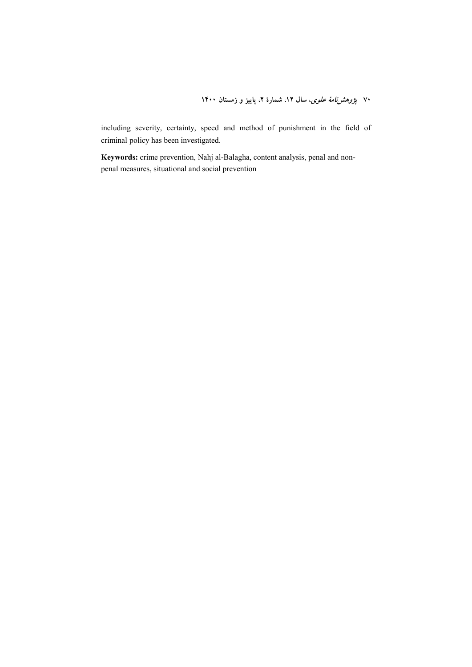۷۰ *پژوهشنامهٔ علوی*، سال ۱۲، شمارهٔ ۲، پاییز و زمستان ۱۴۰۰

including severity, certainty, speed and method of punishment in the field of criminal policy has been investigated.

**Keywords:** crime prevention, Nahj al-Balagha, content analysis, penal and nonpenal measures, situational and social prevention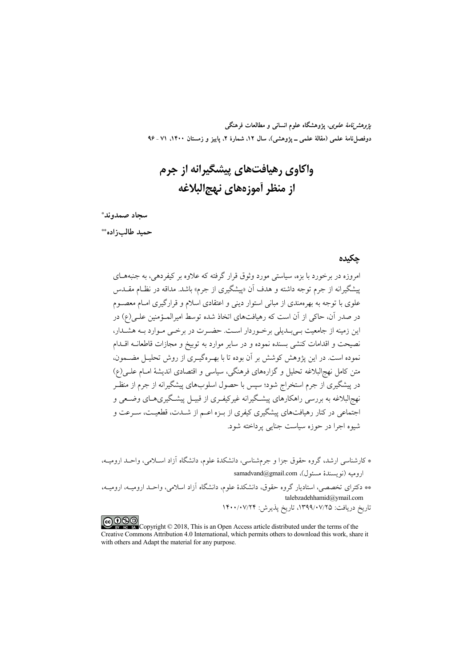*پژوهشنامهٔ علوی*، پژوهشگاه علوم انسانی و مطالعات فرهنگی دوفصلiاههٔ علمی (مقالهٔ علمی ـ پژوهشی)، سال ۱۲، شمارهٔ ۲، پاییز و زمستان ۱۴۰۰، ۷۱ ـ ۹۶

# واکاوي رهيافتهاي پيشگيرانه از جرم از منظر أموزههاي نهج البلاغه

سجاد صمدوند\*

حميد طالب; اده\*\*

#### حكىدە

امروزه در برخورد با بزه، سیاستی مورد وثوق قرار گرفته که علاوه بر کیفردهی، به جنبههــای پیشگیرانه از جرم توجه داشته و هدف آن «پیشگیری از جرم» باشد. مداقه در نظـام مقــدس علوی با توجه به بهرهمندی از مبانی استوار دینی و اعتقادی اسلام و قرارگیری امـام معصــوم در صدر آن، حاکی از آن است که رهیافتهای اتخاذ شده توسط امیرالمـؤمنین علـی(ع) در این زمینه از جامعیت بـی بـدیلی برخـوردار اسـت. حضـرت در برخـی مـوارد بـه هشـدار، نصيحت و اقدامات كنشي بسنده نموده و در ساير موارد به توبيخ و مجازات قاطعانــه اقــدام نموده است. در این پژوهش کوشش بر آن بوده تا با بهـرهگیـری از روش تحلیـل مضــمون، متن كامل نهجالبلاغه تحليل و گزارههاي فرهنگي، سياسي و اقتصادي انديشهٔ امــام علــي(ع) در پیشگیری از جرم استخراج شود؛ سپس با حصول اسلوبهای پیشگیرانه از جرم از منظـر نهج|لبلاغه به بررسی راهکارهای پیشگیرانه غیرکیفـری از قبیـل پیشـگیریهـای وضـعی و اجتماعی در کنار رهیافتهای پیشگیری کیفری از بـزه اعـم از شــدت، قطعیــت، ســرعت و شيوه اجرا در حوزه سياست جنايي پرداخته شود.

\* کارشناسی ارشد، گروه حقوق جزا و جرمشناسی، دانشکدهٔ علوم، دانشگاه آزاد اسـلامی، واحـد ارومیــه، اروميه (نويسندهٔ مسئول)، samadvand@gmail.com

\*\* دکترای تخصصی، استادیار گروه حقوق، دانشکدهٔ علوم، دانشگاه آزاد اسلامی، واحـد ارومیــه، ارومیــه، talebzadehhamid@ymail.com تاریخ دریافت: ۱۳۹۹/۰۷/۲۵، تاریخ پذیرش: ۱۴۰۰/۰۷/۲۴

COOD experience Copyright © 2018, This is an Open Access article distributed under the terms of the Creative Commons Attribution 4.0 International, which permits others to download this work, share it with others and Adapt the material for any purpose.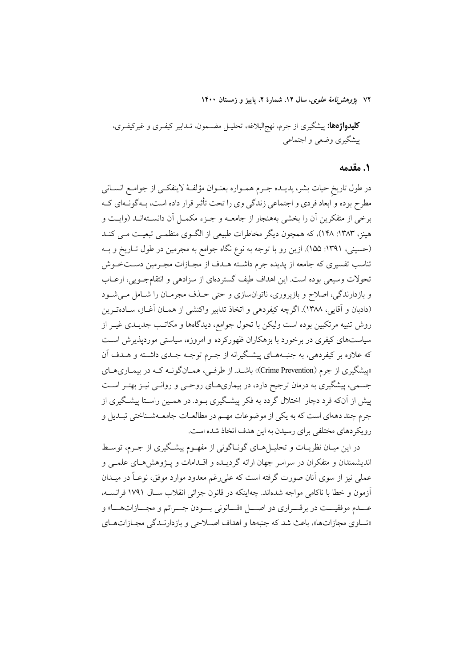۷۲ ي*ژوهشرنامهٔ علوی*، سال ۱۲، شمارهٔ ۲، پاییز و زمستان ۱۴۰۰

**کلیدواژهها:** پیشگیری از جرم، نهج|لبلاغه، تحلیـل مضـمون، تــدابیر کیفـری و غیرکیفـری، پیشگیری وضعی و اجتماعی

### 1. مقدمه

در طول تاريخ حيات بشر، پديــده جــرم همــواره بعنــوان مؤلفــهٔ لاينفكــي از جوامــع انســاني مطرح بوده و ابعاد فردي و اجتماعي زندگي وي را تحت تأثير قرار داده است، بــهگونــهاي كــه برخی از متفکرین آن را بخشی بههنجار از جامعــه و جــزء مکمــل آن دانســتهانــد (وايــت و هینز، ۱۳۸۳: ۱۴۸)، که همچون دیگر مخاطرات طبیعی از الگـوی منظمـی تبعیـت مـی کنـد (حسینی، ۱۳۹۱: ۱۵۵). ازین رو با توجه به نوع نگاه جوامع به مجرمین در طول تــاریخ و بــه تناسب تفسیری که جامعه از پدیده جرم داشته هـدف از مجـازات مجـرمین دسـتخـوش تحولات وسیعی بوده است. این اهداف طیف گستردهای از سزادهی و انتقامجویی، ارعـاب و بازدارندگی، اصلاح و بازپروری، ناتوانسازی و حتی حـذف مجرمـان را شـامل مـی شـود (دادبان و آقایی، ۱۳۸۸). اگرچه کیفردهی و اتخاذ تدابیر واکنشی از همـان آغـاز، سـادهتـرین روش تنبیه مرتکبین بوده است ولیکن با تحول جوامع، دیدگاهها و مکاتـب جدیــدی غیــر از سیاستهای کیفری در برخورد با بزهکاران ظهورکرده و امروزه، سیاستی موردپذیرش است که علاوه بر کیفردهی، به جنبـههـای پیشـگیرانه از جـرم توجـه جـدی داشـته و هــدف آن «پیشگیری از جرم (Crime Prevention)» باشـد. از طرفـی، همـانگونــه کــه در بیمـاریهـای جسمی، پیشگیری به درمان ترجیح دارد، در بیماریهـای روحـی و روانـی نیـز بهتـر اسـت پیش از آنکه فرد دچار اختلال گردد به فکر پیشگیری بـود. در همـین راسـتا پیشـگیری از جرم چند دههای است که به یکی از موضوعات مهـم در مطالعـات جامعـهشـناختی تبـدیل و رویکردهای مختلفی برای رسیدن به این هدف اتخاذ شده است.

در این میـان نظریــات و تحلیــل(هــای گونــاگونی از مفهــوم پیشــگیری از جــرم، توســط اندیشمندان و متفکران در سراسر جهان ارائه گردیـده و اقــدامات و پــژوهش۵هـای علمــی و عملي نيز از سوي آنان صورت گرفته است كه علي رغم معدود موارد موفق، نوعـاً در ميــدان آزمون و خطا با ناكامی مواجه شدهاند. چهاینکه در قانون جزائی انقلاب سـال ۱۷۹۱ فرانســه، عـــدم موفقيـــت در برقـــراري دو اصــــل «قـــانوني بـــودن جــــرائم و مجـــازاتهــــا» و «تساوي مجازاتها»، باعث شد كه جنبهها و اهداف اصلاحي و بازدارندگي مجبازاتهاي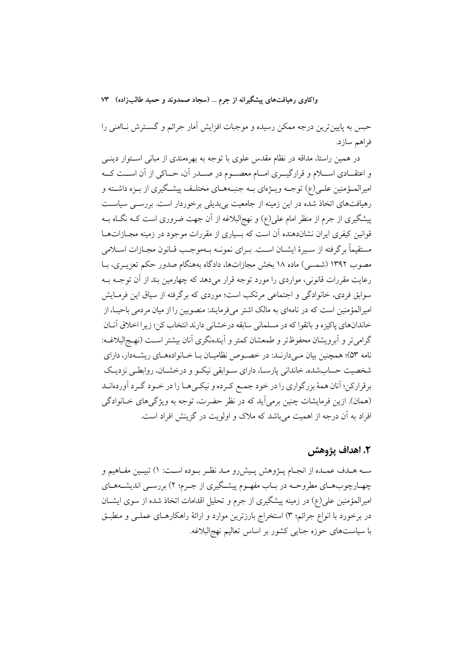حبس به پایینترین درجه ممکن رسیده و موجبات افزایش آمار جرائم و گسـترش نـاامنی را فراهم سازد.

در همین راستا، مداقه در نظام مقدس علوی با توجه به بهرهمندی از مبانی اســتوار دینــی و اعتقــادي اســـلام و قرارگيـــري امـــام معصـــوم در صـــدر آن، حـــاكي از آن اســـت كـــه امیرالمــؤمنین علــی(ع) توجــه ویــژهای بــه جنبــههــای مختلــف پیشــگیری از بــزه داشــته و رهیافتهای اتخاذ شده در این زمینه از جامعیت بی بدیلی برخوردار است. بررسـی سیاسـت پیشگیری از جرم از منظر امام علی(ع) و نهج|لبلاغه از آن جهت ضروری است کـه نگـاه بــه قوانین کیفری ایران نشاندهنده آن است که بسیاری از مقررات موجود در زمینه مجــازاتهــا مستقيماً برگرفته از سـيرهٔ ايشــان اســت. بــراي نمونــه بــهموجــب قــانون مجــازات اســلامي مصوب ۱۳۹۲ (شمسی) ماده ۱۸ بخش مجازاتها، دادگاه بههنگام صدور حکم تعزیــری، بــا رعایت مقررات قانونی، مواردی را مورد توجه قرار میدهد که چهارمین بند از آن توجـه بـه سوابق فردي، خانوادگي و اجتماعي مرتکب است؛ موردي که برگرفته از سياق اين فرمـايش امیر المؤمنین است که در نامهای به مالک اشتر می فرمایند: منصوبین را از میان مردمی باحیــا، از خاندانهاي ياكيزه و باتقوا كه در مسلماني سابقه درخشاني دارند انتخاب كن؛ زيرا اخلاق آنــان گرامیتر و آبرویشان محفوظتر و طمعشان کمتر و آیندهنگری آنان بیشتر است (نهج البلاغـه: نامه ۵۳)؛ همچنین بیان مـیدارنـد: در خصـوص نظامیـان بـا خـانوادههـای ریشـهدار، دارای شخصیت حسابشده، خاندانی پارسـا، دارای سـوابقی نیکـو و درخشــان، روابطــی نزدیـک برقراركن؛ آنان همهٔ بزرگواري را در خود جمـع كـرده و نيكـي۵ـا را در خـود گـرد آوردهانـد (همان). ازین فرمایشات چنین برمیآید که در نظر حضرت، توجه به ویژگیهای خـانوادگی افراد به آن درجه از اهمیت میباشد که ملاک و اولویت در گزینش افراد است.

# ٢. اهداف يژوهش

سـه هــدف عمــده از انجــام پــژوهش پــیش(و مــد نظــر بــوده اســت: ۱) تبيــین مفــاهیم و چهـارچوبهـاي مطروحـه در بـاب مفهـوم پيشـگيري از جـرم؛ ٢) بررسـي انديشـههـاي امیرالمؤمنین علی(ع) در زمینه پیشگیری از جرم و تحلیل اقدامات اتخاذ شده از سوی ایشــان در برخورد با انواع جرائم؛ ٣) استخراج بارزترين موارد و ارائهٔ راهكارهـاي عملــي و منطبــق با سیاستهای حوزه جنایی کشور بر اساس تعالیم نهج البلاغه.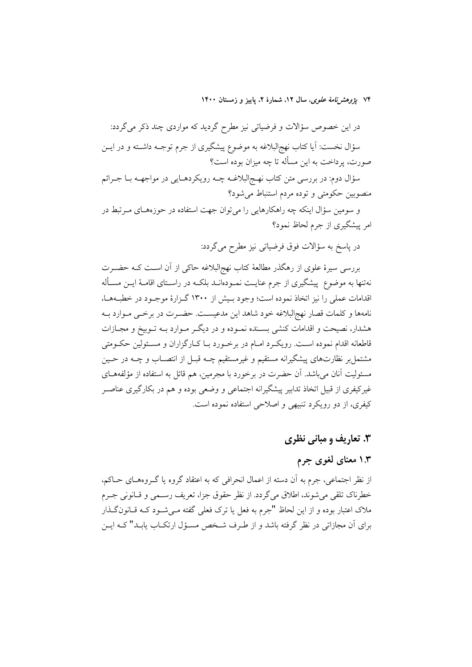۷۴ پژ*وهشرنامهٔ علوی*، سال ۱۲، شمارهٔ ۲، پاییز و زمستان ۱۴۰۰

در این خصوص سؤالات و فرضیاتی نیز مطرح گردید که مواردی چند ذکر میگردد: سؤال نخست: آیا کتاب نهج|لبلاغه به موضوع پیشگیری از جرم توجــه داشــته و در ایــن صورت، پرداخت به این مسأله تا چه میزان بوده است؟

سؤال دوم: در بررسی متن کتاب نهـج|لبلاغــه چــه رویکردهــایی در مواجهــه بــا جــرائم منصوبین حکومتی و توده مردم استنباط میشود؟

و سومین سؤال اینکه چه راهکارهایی را میتوان جهت استفاده در حوزههـای مـرتبط در امر پیشگیری از جرم لحاظ نمود؟

در پاسخ به سؤالات فوق فرضیاتی نیز مطرح میگردد:

بررسی سیرهٔ علوی از رهگذر مطالعهٔ کتاب نهج|لبلاغه حاکی از آن است کـه حضـرت نهتنها به موضوع ً پیشگیری از جرم عنایــت نمــودهانــد بلکــه در راســتای اقامــهٔ ایــن مســأله اقدامات عملی را نیز اتخاذ نموده است؛ وجود بـیش از ۱۳۰۰ گـزارهٔ موجـود در خطبـههـا، نامهها و كلمات قصار نهج|لبلاغه خود شاهد اين مدعيسـت. حضـرت در برخـي مـوارد بــه هشدار، نصیحت و اقدامات کنشی بسـنده نمـوده و در دیگـر مـوارد بــه تـوبیخ و مجــازات قاطعانه اقدام نموده اسـت. رویکـرد امـام در برخـورد بـا کـارگزاران و مسـئولین حکـومتی مشتمل بر نظارتهاي پيشگيرانه مستقيم و غيرمستقيم چــه قبــل از انتصــاب و چــه در حــين مسئولیت آنان می باشد. آن حضرت در برخورد با مجرمین، هم قائل به استفاده از مؤلفههــای غیرکیفری از قبیل اتخاذ تدابیر پیشگیرانه اجتماعی و وضعی بوده و هم در بکارگیری عناصـر کیفری، از دو رویکرد تنبیهی و اصلاحی استفاده نموده است.

# ۳. تعاریف و مبانی نظری

### ۱.۳ معنای لغوی جرم

از نظر اجتماعی، جرم به آن دسته از اعمال انحرافی که به اعتقاد گروه یا گـروههـای حــاکم، خطرناك تلقى مى شوند، اطلاق مى گردد. از نظر حقوق جزا، تعريف رسـمى و قــانونى جـرم ملاک اعتبار بوده و از این لحاظ "جرم به فعل یا ترک فعلی گفته مـیشـود کــه قــانونگــذار برای اَن مجازاتی در نظر گرفته باشد و از طـرف شـخص مسـؤل ارتکــاب پابــد" کــه ايــن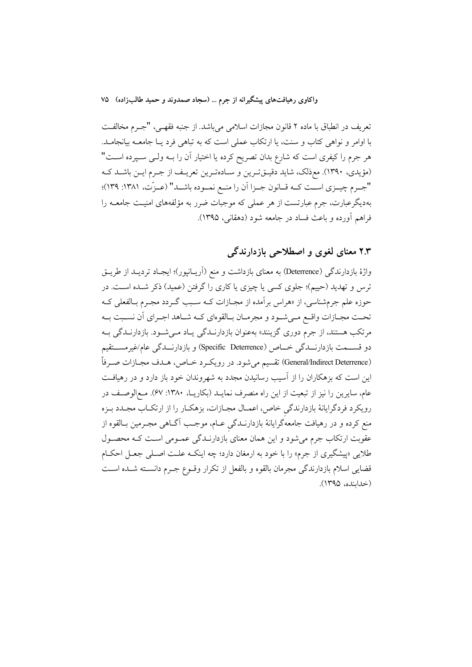تعريف در انطباق با ماده ٢ قانون مجازات اسلامي مي!شد. از جنبه فقهـي، "جـرم مخالفـت با اوامر و نواهی کتاب و سنت، یا ارتکاب عملی است که به تباهی فرد یـا جامعــه بیانجامــد. هر جرم را کیفری است که شارع بدان تصریح کرده یا اختیار آن را بــه ولــی ســپرده اســت" (مؤيدي، ١٣٩٠). معذلك، شايد دقيـقتـرين و سـادهتـرين تعريـف از جـرم ايـن باشـد كـه "جرم چيـزي اسـت كـه قـانون جـزا أن را منـع نمـوده باشـد" (عـزّت، ١٣٨١: ١٣٩)؛ بهدیگرعبارت، جرم عبارتست از هر عملی که موجبات ضرر به مؤلفههای امنیـت جامعــه را فراهم أورده و باعث فساد در جامعه شود (دهقانی، ۱۳۹۵).

# ۲.۳ معنای لغوی و اصطلاحی بازدارندگی

واژهٔ بازدارندگی (Deterrence) به معنای بازداشت و منع (اَریـانپور)؛ ایجـاد تردیــد از طریــق ترس و تهدید (حییم)؛ جلوی کسی یا چیزی یا کاری را گرفتن (عمید) ذکر شـده اسـت. در حوزه علم جرمشناسی، از «هراس برآمده از مجـازات کــه سـبب گــردد مجــرم بــالفعلي کــه تحــت مجــازات واقــع مــيشــود و مجرمــان بــالقوهاي كــه شــاهد اجــراي أن نســبت بــه مرتکب هستند، از جرم دوری گزینند» بهعنوان بازدارنـدگی یـاد مـیشـود. بازدارنـدگی بـه دو قســـمت بازدارنـــدگی خـــاص (Specific Deterrence) و بازدارنـــدگی عام/غیرمســـتقیم (General/Indirect Deterrence) تقسيم مي شود. در رويكرد خـاص، هـدف مجـازات صـرفاً این است که بزهکاران را از آسیب رسانیدن مجدد به شهروندان خود باز دارد و در رهیافت عام، سایرین را نیز از تبعیت از این راه منصرف نمایـد (بکاریـا، ۱۳۸۰: ۶۷). مـع|لوصـف در رویکرد فردگرایانهٔ بازدارندگی خاص، اعمـال مجـازات، بزهکـار را از ارتکـاب مجـدد بـزه منع کرده و در رهیافت جامعهگرایانهٔ بازدارنــدگی عــام، موجــب آگــاهـی مجــرمین بــالقوه از عقوبت ارتکاب جرم میشود و این همان معنای بازدارنـدگی عمـومی اسـت کـه محصـول طلایی «پیشگیری از جرم» را با خود به ارمغان دارد؛ چه اینکـه علـت اصـلی جعـل احکـام قضایی اسلام بازدارندگی مجرمان بالقوه و بالفعل از تکرار وقــوع جــرم دانســته شــده اســت (خداينده، ۱۳۹۵).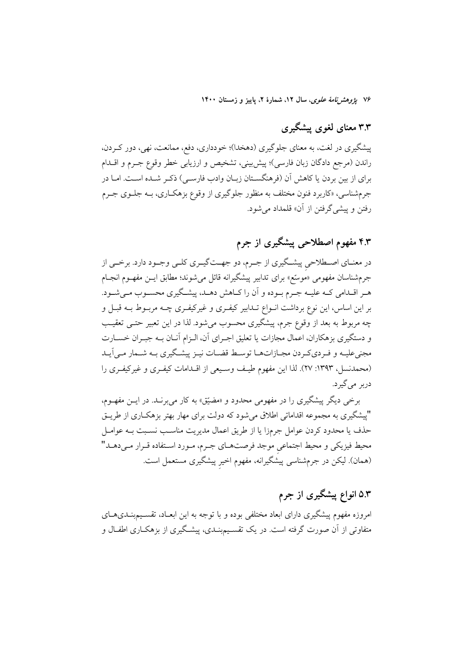۷۶ ي*ژوهشرنامهٔ علوی*، سال ۱۲، شمارهٔ ۲، پاييز و زمستان ۱۴۰۰

# ۳.۳ معنای لغوی پیشگیری

پیشگیری در لغت، به معنای جلوگیری (دهخدا)؛ خودداری، دفع، ممانعت، نهی، دور کـردن، راندن (مرجع دادگان زبان فارسی)؛ پیش بینی، تشخیص و ارزیابی خطر وقوع جـرم و اقــدام براي از بين بردن يا كاهش آن (فرهنگســتان زبــان وادب فارســي) ذكـر شــده اســت. امــا در جرمشناسی، «کاربرد فنون مختلف به منظور جلوگیری از وقوع بزهکـاری، بــه جلــوی جــرم رفتن و پیشی گرفتن از آن» قلمداد می شود.

# ۴.۳ مفهوم اصطلاحی پیشگیری از جرم

در معنــاي اصـــطلاحي پيشــگيري از جــرم، دو جهــتگيــري كلــي وجــود دارد. برخــي از جرمشناسان مفهومي «موسّع» براي تدابير پيشگيرانه قائل مي شوند؛ مطابق ايــن مفهــوم انجــام هـر اقــدامي كـه عليــه جـرم بــوده و أن را كــاهش دهــد، پيشــگيري محســوب مــي شــود. بر این اساس، این نوع برداشت انــواع تــدابیر کیفــری و غیرکیفــری چــه مربــوط بــه قبــل و چه مربوط به بعد از وقوع جرم، پیشگیری محسوب میشود. لذا در این تعبیر حتـبی تعقیـب و دستگیری بزهکاران، اعمال مجازات یا تعلیق اجـرای آن، الـزام آنـان بــه جبـران خســارت مجنیعلیـه و فـرديكـردن مجـازاتهـا توسـط قضـات نيـز پيشـگيري بـه شـمار مـي|َيـد (محمدنسل، ۱۳۹۳: ۲۷). لذا این مفهوم طیف وسیعی از اقلدامات کیفری و غیرکیفری را دربر امي گير د.

برخی دیگر پیشگیری را در مفهومی محدود و «مضیّق» به کار میبرنـد. در ایــن مفهــوم، "پیشگیری به مجموعه اقداماتی اطلاق می شود که دولت برای مهار بهتر بزهکـاری از طریــق حذف یا محدود کردن عوامل جرمزا یا از طریق اعمال مدیریت مناسب نسبت بـه عوامـل محيط فيزيكي و محيط اجتماعي موجد فرصتهـاي جـرم، مـورد اسـتفاده قـرار مـيدهـد" (همان). لیکن در جرمشناسی پیشگیرانه، مفهوم اخیر پیشگیری مستعمل است.

# ۵.۳ انواع پیشگیری از جرم

امروزه مفهوم پیشگیری دارای ابعاد مختلفی بوده و با توجه به این ابعـاد، تقسـیمېنــدیهــای متفاوتی از آن صورت گرفته است. در یک تقسـیمبنــدی، پیشـگیری از بزهکــاری اطفــال و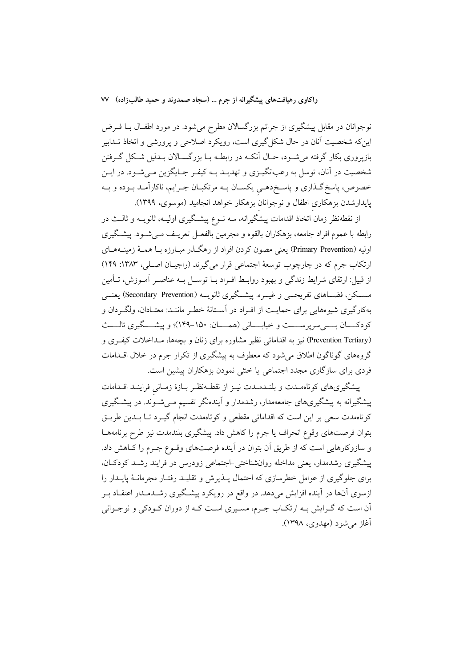نوجوانان در مقابل پیشگیری از جرائم بزرگسالان مطرح میشود. در مورد اطفـال بــا فــرض اینکه شخصیت آنان در حال شکل گیری است، رویکرد اصلاحی و پرورشی و اتخاذ تـدابیر بازپروری بکار گرفته می شـود، حـال انکـه در رابطـه بـا بزرگسـالان بـدليل شـکل گـرفتن شخصیت در آنان، توسل به رعبانگیــزی و تهدیــد بــه کیفــر جــایگزین مــیشــود. در ایــن خصوص، پاسخ گـذاري و پاسـخ(هـي يكسـان بـه مرتكبـان جـرايم، ناكارآمـد بـوده و بـه پایدارشدن بزهکاری اطفال و نوجوانان بزهکار خواهد انجامید (موسوی، ۱۳۹۹).

از نقطهنظر زمان اتخاذ اقدامات پیشگیرانه، سه نــوع پیشــگیری اولیــه، ثانویــه و ثالــث در رابطه با عموم افراد جامعه، بزهکاران بالقوه و مجرمین بالفعـل تعریـف مـیشـود. پیشـگیری اولیه (Primary Prevention) یعنی مصون کردن افراد از رهگـذر مبـارزه بـا همـهٔ زمینــههـای ارتکاب جرم که در چارچوب توسعهٔ اجتماعی قرار می گیرند (راجبان اصلی، ۱۳۸۳: ۱۴۹) از قبیل: ارتقای شرایط زندگی و بهبود روابط افـراد بــا توســل بــه عناصــر آمــوزش، تــأمین مســکن، فضــاهای تفریحــی و غیــره. پیشــگیری ثانویــه (Secondary Prevention) یعنــی بهکارگیری شیوههایی برای حمایـت از افـراد در آسـتانهٔ خطـر ماننـد: معتـادان، ولگــردان و كودكــــان بـــــي سريرســــت و خيابــــاني (همــــان: ١۵٠-١۴۹)؛ و ييشــــگيري ثالــــث (Prevention Tertiary) نیز به اقداماتی نظیر مشاوره برای زنان و بچهها، مـداخلات کیفـری و گروههای گوناگون اطلاق می شود که معطوف به پیشگیری از تکرار جرم در خلال اقــدامات فردی برای سازگاری مجدد اجتماعی یا خنثی نمودن بزهکاران پیشین است.

پیشگیریهای کوتاهمدت و بلنـدمـدت نیـز از نقطـهنظـر بـازهٔ زمـانی فراینـد اقـدامات پیشگیرانه به پیشگیریهای جامعهمدار، رشدمدار و اَیندهنگر تقسیم مـی شـوْند. در پیشـگیری کوتاهمدت سعی بر این است که اقداماتی مقطعی و کوتاهمدت انجام گیــرد تــا بــدین طریــق بتوان فرصتهای وقوع انحراف یا جرم را کاهش داد. پیشگیری بلندمدت نیز طرح برنامههــا و سازوکارهایی است که از طریق آن بتوان در آینده فرصتهای وقـوع جـرم را کـاهش داد. پیشگیری رشدمدار، یعنی مداخله روانشناختی –اجتماعی زودرس در فرایند رشــد کودکــان، برای جلوگیری از عوامل خطرسازی که احتمال پـــذیرش و تقلیـــد رفتــار مجرمانـــهٔ پایـــدار را ازسوی آنها در آینده افزایش میدهد. در واقع در رویکرد پیشگیری رشــدمــدار اعتقــاد بــر آن است که گـرايش بـه ارتکـاب جـرم، مسـيري اسـت کـه از دوران کـودکي و نوجـواني آغاز مي شود (مهدوي، ١٣٩٨).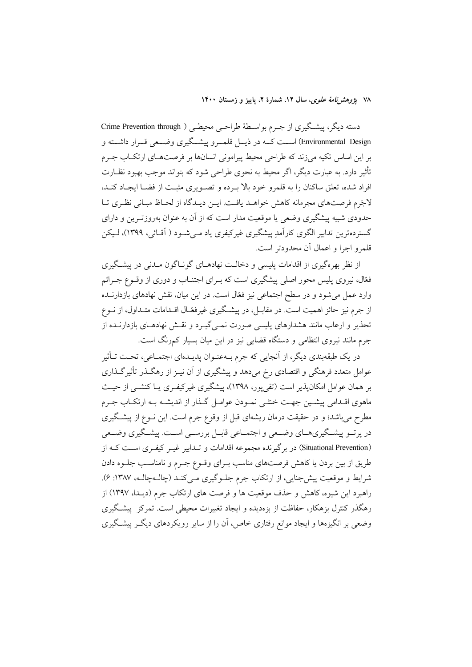۷۸ يژوهشرنامهٔ علوی، سال ۱۲، شمارهٔ ۲، پاييز و زمستان ۱۴۰۰

دسته دیگر، پیشگیری از جرم بواسطهٔ طراحمی محیطمی ( Crime Prevention through Environmental Design) اســت کــه در ذیـــل قلمـــرو پیشـــگیری وضـــعی قـــرار داشــته و بر این اساس تکیه میزند که طراحی محیط پیرامونی انسانها بر فرصتهـای ارتکـاب جـرم تأثیر دارد. به عبارت دیگر، اگر محیط به نحوی طراحی شود که بتواند موجب بهبود نظـارت افراد شده، تعلق ساكنان را به قلمرو خود بالا بـرده و تصـویری مثبـت از فضـا ایجـاد كنـد، لاجَرِم فرصتهاي مجرمانه كاهش خواهـد يافـت. ايـن ديـدگاه از لحـاظ مبـاني نظـري تـا حدودی شبیه پیشگیری وضعی یا موقعیت مدار است که از آن به عنوان بهروزتـرین و دارای گستردهترین تدابیر الگوی کارآمدِ پیشگیری غیرکیفری یاد مـی شــود ( اَقــائی، ۱۳۹۹)، لـیکن قلمرو اجرا و اعمال آن محدودتر است.

از نظر بهرهگیری از اقدامات پلیسی و دخالـت نهادهــای گونــاگون مــدنی در پیشــگیری فغال، نیروی پلیس محور اصلی پیشگیری است که بـرای اجتنــاب و دوری از وقــوع جــرائم وارد عمل می شود و در سطح اجتماعی نیز فغال است. در این میان، نقش نهادهای بازدارنــده از جرم نیز حائز اهمیت است. در مقابـل، در پیشـگیری غیرفعّـال اقــدامات متــداول، از نــوع تحذیر و ارعاب مانند هشدارهای پلیسی صورت نمـی گیـرد و نقـش نهادهـای بازدارنــده از جرم مانند نیروی انتظامی و دستگاه قضایی نیز در این میان بسیار کمرنگ است.

در یک طبقهبندی دیگر، از آنجایی که جرم بـهعنـوان پدیـدهای اجتمـاعی، تحـت تـأثیر عوامل متعدد فرهنگی و اقتصادی رخ میدهد و پیشگیری از آن نیـز از رهگــذر تأثیرگــذاری بر همان عوامل امکان پذیر است (تقی پور، ۱۳۹۸)، پیشگیری غیرکیفـری یــا کنشــی از حیــث ماهوی اقـدامی پیشـین جهـت خنثـی نمـودن عوامـل گـذار از اندیشـه بـه ارتکــاب جـرم مطرح میباشد؛ و در حقیقت درمان ریشهای قبل از وقوع جرم است. این نــوع از پیشـگیری در پرتسو پیشگیریهــای وضــعی و اجتمــاعی قابــل بررســی اســت. پیشــگیری وضــعی (Situational Prevention) در برگیرنده مجموعه اقدامات و تــدابیر غیــر کیفــری اســت کــه از طریق از بین بردن یا کاهش فرصتهای مناسب بـرای وقـوع جـرم و نامناسـب جلـوه دادن شرايط و موقعيت پيش جنايي، از ارتكاب جرم جلـوگيري مـيكنـد (چالـهچالـه، ١٣٨٧: ۶). راهبرد این شیوه، کاهش و حذف موقعیت ها و فرصت های ارتکاب جرم (دیـدا، ۱۳۹۷) از رهگذر کنترل بزهکار، حفاظت از بزهدیده و ایجاد تغییرات محیطی است. تمرکز پیشگیری وضعی بر انگیزهها و ایجاد موانع رفتاری خاص، آن را از سایر رویکردهای دیگ پیشگیری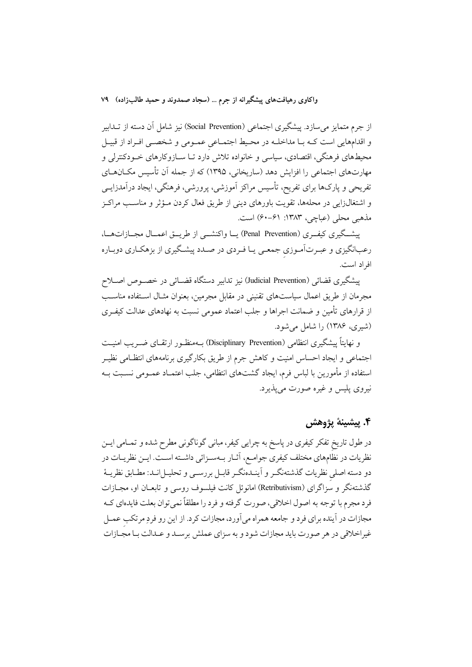از جرم متمایز می سازد. پیشگیری اجتماعی (Social Prevention) نیز شامل آن دسته از تــدابیر و اقدامهایی است کـه بـا مداخلـه در محـیط اجتمـاعی عمـومی و شخصـی افـراد از قبيـل محیطهای فرهنگی، اقتصادی، سیاسی و خانواده تلاش دارد تـا ســازوکارهای خــودکنترلی و مهارتهای اجتماعی را افزایش دهد (ساریخانی، ۱۳۹۵) که از جمله آن تأسیس مکــانهــای تفریحی و پارکھا برای تفریح، تأسیس مراکز اَموزشی، پرورشی، فرهنگی، ایجاد دراَمدزایــی و اشتغالزایی در محلهها، تقویت باورهای دینی از طریق فعال کردن مـؤثر و مناسـب مراکـز مذهبی محلی (عباچی، ۱۳۸۳: ۶۱–۶۰) است.

پیشگیری کیف ری (Penal Prevention) یــا واکنشــی از طریـــق اعمــال مجــازاتهــا، رعبانگیزی و عبـرتآمـوزی جمعـی یـا فـردی در صـدد پیشـگیری از بزهکـاری دوبـاره افي اد است.

ييشكيري قضائي (Judicial Prevention) نيز تدابير دستگاه قضـائي در خصـوص اصـلاح مجرمان از طریق اعمال سیاستهای تقنینی در مقابل مجرمین، بعنوان مثـال اسـتفاده مناسـب از قرارهای تأمین و ضمانت اجراها و جلب اعتماد عمومی نسبت به نهادهای عدالت کیف وی (شیری، ۱۳۸۶) را شامل می شود.

و نهایتاً پیشگیری انتظامی (Disciplinary Prevention) بــهمنظــور ارتقــای ضـــریب امنیــت اجتماعی و ایجاد احساس امنیت و کاهش جرم از طریق بکارگیری برنامههای انتظـامی نظیــر استفاده از مأمورين با لباس فرم، ايجاد گشتهاى انتظامى، جلب اعتمــاد عمــومى نســبت بــه نيږوي پليس و غيږه صورت مې پذيږد.

# ۴. ييشينهٔ يژوهش

در طول تاریخ تفکر کیفری در پاسخ به چرایی کیفر، مبانی گوناگونی مطرح شده و تمــامی ایــن نظریات در نظامهای مختلف کیفری جوامـع، آثـار بـهسـزائی داشـته اسـت. ایـن نظریـات در دو دسته اصلی نظریات گذشتهنگـر و آینـدهنگـر قابـل بررسـی و تحليـلانـد: مطـابق نظريـهٔ گذشتهنگر و سزاگرای (Retributivism) امانوئل کانت فیلسوف روسی و تابعـان او، مجــازات فرد مجرم با توجه به اصول اخلاقي، صورت گرفته و فرد را مطلقاً نميتوان بعلت فايدهاي كــه مجازات در آینده برای فرد و جامعه همراه میآورد، مجازات کرد. از این رو فردِ مرتکب عمـل غیر اخلاقی در هر صورت باید مجازات شود و به سزای عملش برسـد و عـدالت بـا مجـازات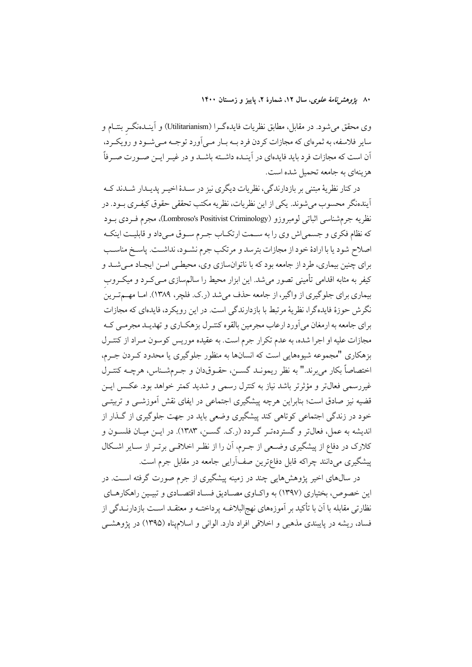۸۰ بی*ژوهشرنامهٔ علوی*، سال ۱۲، شمارهٔ ۲، پاییز و زمستان ۱۴۰۰

وی محقق میشود. در مقابل، مطابق نظریات فایدهگـرا (Utilitarianism) و آینــدهنگــر بنتــام و سایر فلاسفه، به ثمرهای که مجازات کردن فرد بــه بــار مــی آورد توجــه مــی شــود و رویکــرد، اّن است که مجازات فرد باید فایدهای در اَینـده داشـته باشـد و در غیـر ایـن صـورت صـرفاً هزینهای به جامعه تحمیل شده است.

در کنار نظریهٔ مبتنی بر بازدارندگی، نظریات دیگری نیز در سـلـهٔ اخیــر پدیـلـدار شـلـدند کــه آیندهنگر محسوب میشوند. یکی از این نظریات، نظریه مکتب تحققی حقوق کیفـری بـود. در نظريه جرم شناسي اثباتي لومبروزو (Lombroso's Positivist Criminology)، مجرم فــردي بــود که نظام فکری و جسمیاش وی را به سـمت ارتکـاب جـرم سـوق مـیداد و قابلیـت اینکـه اصلاح شود يا با ارادهٔ خود از مجازات بترسد و مرتکب جرم نشـود، نداشـت. ياسـخ مناسـب براي چنين بيماري، طرد از جامعه بود كه با ناتوانسازي وي، محيطـي امـن ايجـاد مـي شـد و کیفر به مثابه اقدامی تأمینی تصور میشد. این ابزار محیط را سالم سازی مـیکـرد و میکـروب بیماری برای جلوگیری از واگیر، از جامعه حذف می شد (ر.ک. فلچر، ۱۳۸۹). امـا مهـم تـرینُ نگرش حوزهٔ فایدهگرا، نظریهٔ مرتبط با بازدارندگی است. در این رویکرد، فایدهای که مجازات برای جامعه به ارمغان می آورد ارعاب مجرمین بالقوه کنتـرل بزهکـاری و تهدیـد مجرمـی کـه مجازات علیه او اجرا شده، به عدم تکرار جرم است. به عقیده موریس کوسون مـراد از کنتـرل بزهکاری "مجموعه شیوههایی است که انسانها به منظور جلوگیری یا محدود کـردن جـرم، اختصاصاً بكار مي برند." به نظر ريمونــد گســن، حقــوق‹ان و جــرمشــناس، هرچــه كنتــرل غیررسمی فعال تر و مؤثرتر باشد نیاز به کنترل رسمی و شدید کمتر خواهد بود. عکس ایــن قضیه نیز صادق است؛ بنابراین هرچه پیشگیری اجتماعی در ایفای نقش آموزشــی و تربیتــی خود در زندگی اجتماعی کوتاهی کند پیشگیری وضعی باید در جهت جلوگیری از گـذار از اندیشه به عمل، فعالتر و گستردهتـر گـردد (ر.ک. گسـن، ۱۳۸۳). در ایـن میـان فلسـون و کلارک در دفاع از پیشگیری وضـعی از جـرم، آن را از نظـر اخلاقـی برتـر از سـایر اشـکال پیشگیری میدانند چراکه قابل دفاعترین صفآرایی جامعه در مقابل جرم است.

در سال@ای اخیر پژوهشهایی چند در زمینه پیشگیری از جرم صورت گرفته اسـت. در این خصوص، بختیاری (۱۳۹۷) به واکــاوی مصــادیق فســاد اقتصــادی و تبیــین راهکارهــای نظارتی مقابله با آن با تأکید بر آموزههای نهجالبلاغــه پرداختــه و معتقــد اســت بازدارنــدگی از فساد، ریشه در پایبندی مذهبی و اخلاقی افراد دارد. الوانی و اسلامیناه (۱۳۹۵) در یژوهشبی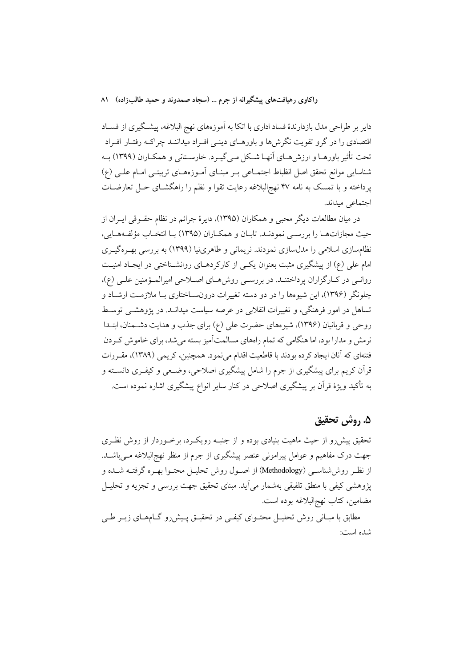دایر بر طراحی مدل بازدارندهٔ فساد اداری با اتکا به آموزههای نهج البلاغه، پیشگیری از فسـاد اقتصادی را در گرو تقویت نگرش ها و باورهــای دینــی افــراد میداننــد چراکــه رفتــار افــراد تحت تأثیر باورهـا و ارزش هـاي آنهـا شـكل مـي گيـرد. خارسـتاني و همكـاران (١٣٩٩) بـه شناسایی موانع تحقق اصل انظباط اجتمـاعی بـر مبنـای آمـوزههـای تربیتـی امـام علـی (ع) پرداخته و با تمسک به نامه ۴۷ نهج|لبلاغه رعایت تقوا و نظم را راهگشــای حــل تعارضــات اجتماعي ميداند.

در میان مطالعات دیگر محبی و همکاران (۱۳۹۵)، دایرهٔ جرائم در نظام حقــوقی ایــران از حيث مجازاتهـا را بررسـي نمودنـد. تابـان و همكـاران (١٣٩٥) بـا انتخـاب مؤلفـههـايي، نظامسازی اسلامی را مدلسازی نمودند. نریمانی و طاهری نیا (۱۳۹۹) به بررسی بهـرهگیـری امام علی (ع) از پیشگیری مثبت بعنوان یکسی از کارکردهـای روانشـناختی در ایجـاد امنیـت روانمی در کبارگزاران پرداختند. در بررسمی روش های اصلاحی امیرالمؤمنین علمی (ع)، چلونگر (۱۳۹۶)، این شیوهها را در دو دسته تغییرات درونسـاختاری بـا ملازمـت ارشـاد و تساهل در امور فرهنگی، و تغییرات انقلابی در عرصه سیاست میدانـد. در پژوهشــی توسـط روحی و قربانیان (۱۳۹۶)، شیوههای حضرت علی (ع) برای جذب و هدایت دشـمنان، ابتـدا نرمش و مدارا بود، اما هنگامی که تمام راههای مسالمتآمیز بسته میشد، برای خاموش کردن فتنهای که آنان ایجاد کرده بودند با قاطعیت اقدام می نمود. همچنین، کریمی (۱۳۸۹)، مقـررات قرآن کریم برای پیشگیری از جرم را شامل پیشگیری اصلاحی، وضـعی و کیفـری دانســته و به تأکید ویژهٔ قرآن بر پیشگیری اصلاحی در کنار سایر انواع پیشگیری اشاره نموده است.

## ۵. روش تحقیق

تحقیق پیشررو از حیث ماهیت بنیادی بوده و از جنبـه رویکـرد، برخــوردار از روش نظـری جهت درک مفاهیم و عوامل پیرامونی عنصر پیشگیری از جرم از منظر نهجالبلاغه مـیباشـد. از نظـر روش'شناسـی (Methodology) از اصــول روش تحليــل محتــوا بهــره گرفتــه شــده و پژوهشی کیفی با منطق تلفیقی بهشمار می]ید. مبنای تحقیق جهت بررسی و تجزیه و تحلیــل مضامین، کتاب نهجالبلاغه بوده است.

مطابق با مبـانی روش تحلیــل محتــوای کیفــی در تحقیــق پــیشررو گــامهــای زیــر طــی شده است: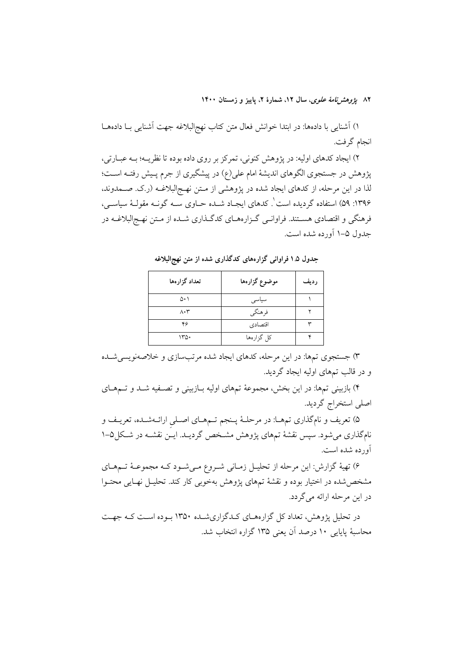۸۲ ي*ژوهشرنامهٔ علوی*، سال ۱۲، شمارهٔ ۲، پاییز و زمستان ۱۴۰۰

١) آشنایی با دادهها: در ابتدا خوانش فعال متن کتاب نهج|لبلاغه جهت آشنایی بـا دادههـا انجام گرفت.

٢) ايجاد كدهاي اوليه: در پژوهش كنوني، تمركز بر روى داده بوده تا نظريــه؛ بــه عبــارتي، پژوهش در جستجوی الگوهای اندیشهٔ امام علی(ع) در پیشگیری از جرم پـیش رفتـه اسـت؛ لذا در این مرحله، از کدهای ایجاد شده در پژوهشی از مـتن نهـجالبلاغـه (ر.ک. صــمدوند، ۱۳۹۶: ۵۹) استفاده گردیده است ٔ. کدهای ایجـاد شـده حـاوی سـه گونـه مقولـهٔ سیاسـی، فرهنگی و اقتصادی هستند. فراوانـی گـزارههـای کدگـذاری شـده از مـتن نهـج|لبلاغـه در جدول ۵–۱ آورده شده است.

| تعداد گزارهها            | موضوع گزارهها | رديف |
|--------------------------|---------------|------|
| ۵۰۱                      | سياسى         |      |
| $\Lambda \cdot \Upsilon$ | فرهنگي        |      |
| ۴۶                       | اقتصادي       |      |
| ۱۳۵۰                     | کل گزارهها    | ۰c   |

جدول ۱.۵ فراوانی گزارههای کدگذاری شده از متن نهج البلاغه

۳) جستجوی تمها: در این مرحله، کدهای ایجاد شده مرتبسازی و خلاصهنویسی شـده و در قالب تمهای اولیه ایجاد گردید.

۴) بازبینی تمها: در این بخش، مجموعهٔ تمهای اولیه بـازبینی و تصـفیه شـد و تــمهـای اصلى استخراج گرديد.

۵) تعریف و نامگذاری تمهـا: در مرحلـهٔ پـنجم تـمهـای اصـلی ارائـهشـده، تعریـف و نامگذاری میشود. سپس نقشهٔ تمهای پژوهش مشـخص گردیــد. ایــن نقشــه در شــکل۵–۱ آورده شده است.

۶) تهیهٔ گزارش: این مرحله از تحلیـل زمـانی شـروع مـیشـود کـه مجموعـهٔ تـمهـای مشخص شده در اختیار بوده و نقشهٔ تمهای یژوهش بهخوبی کار کند. تحلیـل نهـایی محتـوا در این مرحله ارائه می گردد.

در تحلیل پژوهش، تعداد کل گزارههـای کـدگزاریشـده ۱۳۵۰ بـوده اسـت کـه جهـت محاسبهٔ پایایی ۱۰ درصد آن یعنی ۱۳۵ گزاره انتخاب شد.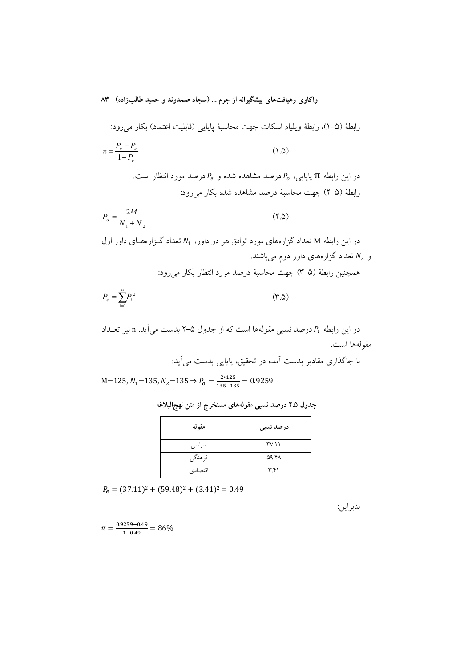رابطهٔ (۵–۱)، رابطهٔ ویلیام اسکات جهت محاسبهٔ پایایی (قابلیت اعتماد) بکار میرود:  
\n
$$
\pi = \frac{P_o - P_e}{1 - P_e}
$$
\n(1.0)

 .: 3+ '< '( ' - '< - 99. π -] @9 : [ '( ' - '< TJ :5 ( 5 -2 ) T]

$$
P_o = \frac{2M}{N_1 + N_2} \tag{7.0}
$$

*e*

*P*

در این رابطه M تعداد گزارههای مورد توافق هر دو داور،  $N_1$  تعداد گـزارههـای داور اول و  $N_2$  تعداد گزارههای داور دوم میباشند.

همچنین رابطهٔ (۵–۳) جهت محاسبهٔ درصد مورد انتظار بکار میرود:

$$
P_e = \sum_{i=1}^{n} P_i^2 \tag{7.0}
$$

در این رابطه  $P_i$  درصد نسبی مقولهها است که از جدول ۵–۲ بدست می|ید. n نیز تعــداد مقولهها است.

با جاگذاری مقادیر بدست آمده در تحقیق، پایایی بدست می آید:  
M=125, N₁=135, N₂=135 ⇒ P₀ = 
$$
\frac{2*125}{135+135} = 0.9259
$$

| مقوله   | درصد نسبى    |
|---------|--------------|
| سياسى   | TV.11        |
| فرهنگي  | <b>09.41</b> |
| اقتصادي | ۳۴۱          |

جدول ۲.۵ درصد نسب*ی* مقولههای مستخرج از متن نهج|لبلاغه

 $P_e = (37.11)^2 + (59.48)^2 + (3.41)^2 = 0.49$ 

بنابراين:

 $\pi = \frac{0.9259 - 0.49}{1.040}$  $\frac{2239-0.49}{1-0.49}$  = 86%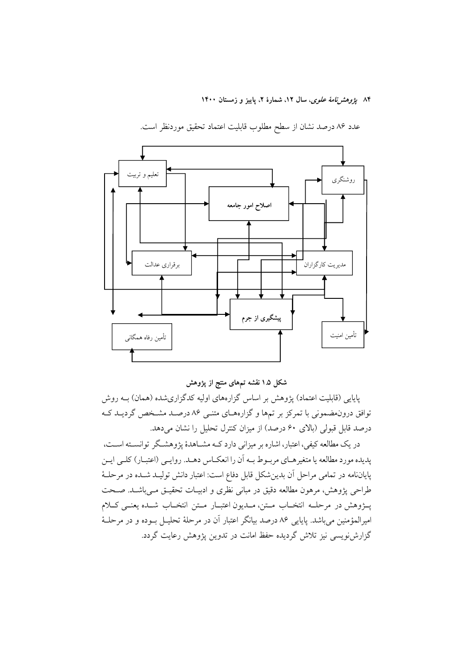۸۴ يژوهشرنامهٔ علوی، سال ۱۲، شمارهٔ ۲، پاييز و زمستان ۱۴۰۰



عدد ٨۶ درصد نشان از سطح مطلوب قابليت اعتماد تحقيق موردنظر است.

شکل ۱.۵ نقشه تمهای منتج از پژوهش

پایایی (قابلیت اعتماد) پژوهش بر اساس گزارههای اولیه کدگزاریشده (همان) بـه روش توافق درونهضمونی با تمرکز بر تمها و گزارههای متنـی ۸۶ درصـد مشـخص گردیـد کـه درصد قابل قبولی (بالای ۶۰ درصد) از میزان کنترل تحلیل را نشان میدهد.

در یک مطالعه کیفی، اعتبار، اشاره بر میزانی دارد کــه مشــاهدهٔ پژوهشــگر توانســته اســت، يديده مورد مطالعه يا متغيرهـاي مربـوط بـه أن را انعكـاس دهـد. روايـبي (اعتبـار) كلـبي ايـن پایاننامه در تمامی مراحل آن بدینشکل قابل دفاع است: اعتبار دانش تولیـد شـده در مرحلـهٔ طراحي يژوهش، مرهون مطالعه دقيق در مباني نظري و ادبيـات تحقيــق مــي باشــد. صــحت پــژوهش در مرحلــه انتخــاب مــتن، مــديون اعتبــار مــتن انتخــاب شــده يعنــي كــلام امیرالمؤمنین میباشد. پایایی ۸۶ درصد بیانگر اعتبار آن در مرحلهٔ تحلیـل بـوده و در مرحلـهٔ گزارشنویسی نیز تلاش گردیده حفظ امانت در تدوین پژوهش رعایت گردد.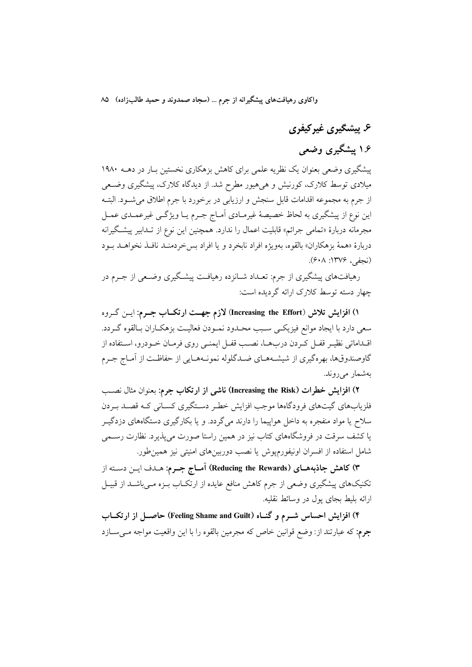# ۶. پیشگیری غیرکیفری

# ۱.۶ پیشگیری وضعی

یشگیری وضعی بعنوان یک نظریه علمی برای کاهش بزهکاری نخستین بیار در دهیه ۱۹۸۰ میلادی توسط کلارک، کورنیش و هی هیور مطرح شد. از دیدگاه کلارک، پیشگیری وضعی از جرم به مجموعه اقدامات قابل سنجش و ارزيابي در برخورد با جرم اطلاق مي شـود. البتــه این نوع از پیشگیری به لحاظ خصیصهٔ غیرمـادی اَمـاج جـرم یــا ویژگــی غیرعمــدی عمــل مجرمانه دربارهٔ «تمامی جرائم» قابلیت اعمال را ندارد. همچنین این نوع از تـدابیر پیشـگیرانه دربارهٔ «همهٔ بزهکاران» بالقوه، بهویژه افراد نابخرد و یا افراد بس خردمنـد نافـذ نخواهـد بـود (نحفر، ۱۳۷۶: ۶۰۸).

رهیافتهای پیشگیری از جرم: تعـداد شــانزده رهیافـت پیشـگیری وضـعی از جــرم در چهار دسته توسط کلارک ارائه گردیده است:

۱) افزایش تلاش (Increasing the Effort) لازم جهــت ارتکــاب جــرم: ایــن گــروه سعي دارد با ايجاد موانع فيزيكـي سـبب محـدود نمـودن فعاليـت بزهكـاران بـالقوه گـردد. اقــداماتي نظيــر قفــل كــردن دربـهــا، نصــب قفــل ايـمنــي روى فرمــان خــودرو، اســتفاده از گاوصندوقها، بهرهگیری از شیشـههـای ضـدگلوله نمونـههـایی از حفاظـت از آمـاج جـرم بەشمار مى روند.

٢) افزایش خطرات (Increasing the Risk) ناشمی از ارتکاب جرم: بعنوان مثال نصب فلزیابهای گیتهای فرودگاهها موجب افزایش خط دستگیری کسـانی کـه قصـد بـردن سلاح یا مواد منفجره به داخل هواپیما را دارند میگردد. و یا بکارگیری دستگاههای دزدگیــر یا کشف سرقت در فروشگاههای کتاب نیز در همین راستا صورت میپذیرد. نظارت رسـمی شامل استفاده از افسران اونیفورمپوش یا نصب دوربینهای امنیتی نیز همینطور.

۳) کاهش جاذبههـای (Reducing the Rewards) آمـاج جـرم: هـدف ايـن دسـته از تکنیکهای پیشگیری وضعی از جرم کاهش منافع عایده از ارتکـاب بـزه مـیباشـد از قبیـل ارائه بليط بجاي يول در وسائط نقليه.

۴) افزایش احساس شــرم و گنــاه (Feeling Shame and Guilt) حاصــل از ارتکــاب جرم: که عبارتند از: وضع قوانین خاص که مجرمین بالقوه را با این واقعیت مواجه مــیســازد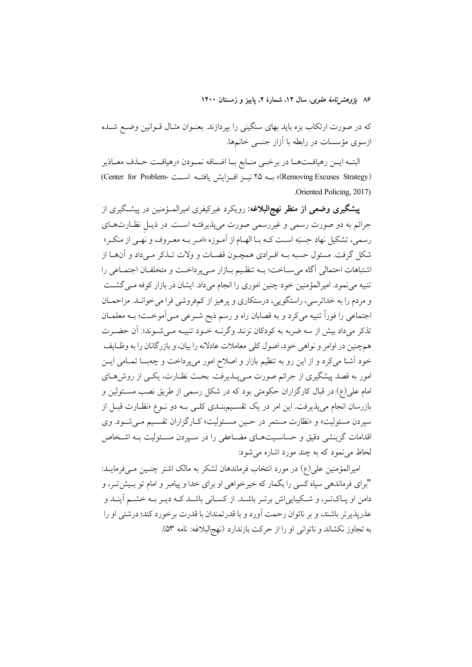۸۶ يژوهشرنامهٔ *علوی*، سال ۱۲، شمارهٔ ۲، پاييز و زمستان ۱۴۰۰

که در صورت ارتکاب بزه باید بهای سنگینی را بپردازند. بعنـوان مثـال قـوانین وضــع شــده ازسوی مؤسسات در رابطه با آزار جنسی خانمها.

البتــه ايــن رهيافــتهــا در برخــى منــابع بــا اضــافه نمــودن «رهيافــت حــذف معــاذير (Removing Excuses Strategy)» بسه ۲۵ نیسز افسزایش یافتسه اسست -Center for Problem) Oriented Policing, 2017).

**پیشگیری وضعی از منظر نهج البلاغه**: رویکرد غیرکیفری امیرالمـؤمنین در پیشـگیری از جرائم به دو صورت رسمی و غیررسمی صورت میپذیرفتـه اسـت. در ذیـل نظـارتهـای رسمي، تشكيل نهاد حِسبَه اسـت كــه بــا الهــام از آمــوزه «امــر بــه معــروف و نهــى از منكــر» شکل گرفت. مسئول حسبه بــه افــرادي همچــون قضــات و ولات تــذکر مــيداد و آنهــا از اشتباهات احتمالي آگاه مي سـاخت؛ بـه تنظـيم بـازار مـي پرداخـت و متخلفـان اجتمـاعي را تنبیه می نمود. امیرالمؤمنین خود چنین اموری را انجام می داد. ایشان در بازار کوفه مـی گشــت و مردم را به خداترسی، راستگویی، درستکاری و پرهیز از کمفروشی فرا می خوانـد. مزاحمـان اجتماعی را فوراً تنبیه میکرد و به قصابان راه و رسم ذبح شـرعی مـی]موخـت؛ بــه معلمــان تذکر میداد بیش از سه ضربه به کودکان نزنند وگرنــه خــود تنبیــه مــیشــوند؛. آن حضــرت همچنین در اوامر و نواهی خود، اصول کلی معاملات عادلانه را بیان، و بازرگانان را به وظـایف خود آشنا میکرد و از این رو به تنظیم بازار و اصلاح امور می پرداخت و چهبسا تمـامی ایــن امور به قصد پیشگیری از جرائم صورت میپبذیرفت. بحث نظـارت، یکـی از روشهـای امام علی(ع) در قبال کارگزاران حکومتی بود که در شکل رسمی از طریق نصب مســئولین و بازرسان انجام می پذیرفت. این امر در یک تقسـیم.بنـدی کلـی بــه دو نــوع «نظــارت قبــل از سپردن مسئولیت» و «نظارت مستمر در حـین مسـئولیت» کـارگزاران تقسـیم مـیشـود. وی اقدامات گزینشی دقیق و حساسـیتهــای مضــاعفی را در سـیردن مســئولیت بــه اشــخاص ۔<br>لحاظ م<sub>ی ن</sub>نمود که به چند مورد اشاره می شود:

امیرالمؤمنین علی(ع) در مورد انتخاب فرماندهان لشکر به مالک اشتر چنـین مـیفرمایـد: "برای فرماندهی سپاه کسی را بگمار که خیرخواهی او برای خدا و پیامبر و امام تو بـیشتر.، و دامن او پـاکتـر، و شـکیباییاش برتـر باشــد. از کســانی باشــد کــه دیـر بــه خشــم آینــد و عذريذيرتر باشند، و بر ناتوان رحمت آورد و با قدرتمندان با قدرت برخورد كند؛ درشتي او را به تجاوز نکشاند و ناتوانی او را از حرکت بازندارد (نهج البلاغه: نامه ۵۳).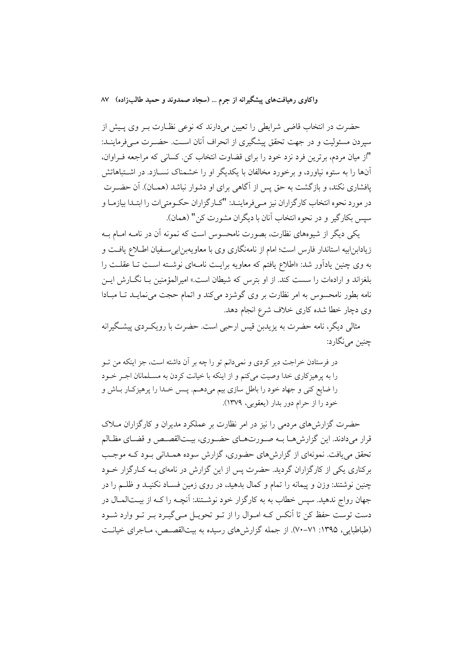حضرت در انتخاب قاضی شرایطی را تعیین میدارند که نوعی نظـارت بـر وی پـیش از سیردن مسئولیت و در جهت تحقق پیشگیری از انحراف آنان اسـت. حضـرت مـیفرماینــد: "از میان مردم، برترین فرد نزد خود را برای قضاوت انتخاب کن. کسانی که مراجعه فـراوان، آنها را به ستوه نیاورد، و برخورد مخالفان با یکدیگر او را خشمناک نســازد. در اشــتباهاتش پافشاری نکند، و بازگشت به حق پس از آگاهی برای او دشوار نباشد (همـان). آن حضـرت در مورد نحوه انتخاب كارگزاران نيز مـيفرماينــد: "كــارگزاران حكــومتى|ت را ابتــدا بيازمــا و سپس بکارگیر و در نحوه انتخاب آنان با دیگران مشورت کن" (همان).

یکی دیگر از شیوههای نظارت، بصورت نامحسوس است که نمونه آن در نامـه امــام بــه زیادابن!بیه استاندار فارس است؛ امام از نامهنگاری وی با معاویهبن!بی سـفیان اطـلاع یافـت و به وی چنین یادآور شد: «اطلاع یافتم که معاویه برایـت نامــهای نوشــته اســت تــا عقلــت را بلغزاند و ارادهات را سست کند. از او بترس که شیطان است.» امیرالمؤمنین بـا نگــارش ایــن نامه بطور نامحسوس به امر نظارت بر وي گوشزد مي كند و اتمام حجت مي نمايـد تــا مبــادا وی دچار خطا شده کاری خلاف شرع انجام دهد.

مثالی دیگر، نامه حضرت به بزیدین قسر ارحبی است. حضرت با رویک دی پیشگیرانه چنين مي نگارد:

در فرستادن خراجت دیر کردی و نمیدانم تو را چه بر آن داشته است، جز اینکه من تــو را به پرهیزکاری خدا وصیت میکنم و از اینکه با خیانت کردن به مسـلمانان اجـر خـود را ضایع کنی و جهاد خود را باطل سازی بیم میدهـم. پــس خــدا را پرهیزکــار بــاش و خود را از حرام دور بدار (يعقوبي، ١٣٧٩).

حضرت گزارشهای مردمی را نیز در امر نظارت بر عملکرد مدیران و کارگزاران مــلاک قرار میدادند. این گزارش هـا بـه صـورتهـای حضـوری، بیـتالقصـص و قضـای مظـالم تحقق می یافت. نمونهای از گزارش های حضوری، گزارش سوده همـدانی بـود کـه موجـب برکناری یکی از کارگزاران گردید. حضرت پس از این گزارش در نامهای بــه کــارگزار خــود چنین نوشتند: وزن و پیمانه را تمام و کمال بدهید، در روی زمین فسـاد نکنیـد و ظلــم را در جهان رواج ندهید. سپس خطاب به به کارگزار خود نوشـتند: آنچــه را کــه از بیــتالمــال در دست توست حفظ کن تا اَنکس کـه امـوال را از تــو تحویــل مــی&یــرد بــر تــو وارد شــود (طباطبایی، ۱۳۹۵: ۷۱-۷۰). از جمله گزارش های رسیده به بیتالقصص، مـاجرای خیانـت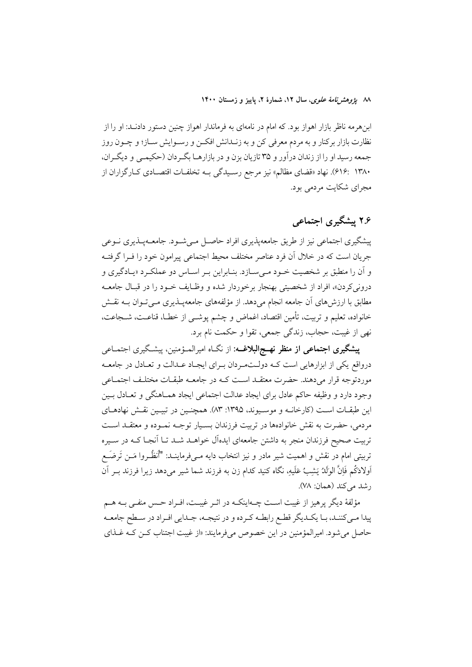٨٨ يژوهشرنامهٔ علوی، سال ١٢، شمارهٔ ٢، ياييز و زمستان ١۴٠٠

ابنهرمه ناظر بازار اهواز بود. که امام در نامهای به فرماندار اهواز چنین دستور دادنــد: او را از نظارت بازار برکنار و به مردم معرفی کن و به زنــدانش افکــن و رســوایش ســاز؛ و چــون روز جمعه رسید او را از زندان درآور و ۳۵ تازیان بزن و در بازارهـا بگـردان (حکیمـی و دیگـران، ٬۶۱۶: ۱۳۸۰). نهاد «قضاي مظالم» نيز مرجع رسـيدگي بــه تخلفــات اقتصــادي كــارگزاران از مجرای شکایت مردمی بود.

# ۲.۶ بیشگیری احتماعی

پیشگیری اجتماعی نیز از طریق جامعهپذیری افراد حاصـل مـی شـود. جامعـهپـذیری نـوعی جريان است كه در خلال آن فرد عناصر مختلف محيط اجتماعي پيرامون خود را فـرا گرفتـه و آن را منطبق بر شخصیت خــود مــی ســازد. بنــابراین بــر اســاس دو عملکــرد «پــادگیری و درونی کردن»، افراد از شخصیتی بهنجار برخوردار شده و وظـایف خــود را در قبـال جامعــه مطابق با ارزش های آن جامعه انجام میدهد. از مؤلفههای جامعهپـذیری مـیتـوان بــه نقـش خانواده، تعليم و تربيت، تأمين اقتصاد، اغماض و چشم پوشــي از خطـا، قناعـت، شــجاعت، نهي از غيبت، حجاب، زندگي جمعي، تقوا و حكمت نام برد.

**پیشگیری اجتماعی از منظر نهــج|لبلاغــه**: از نگــاه امیرالمــؤمنین، پیشـگیری اجتمــاعی درواقع یکی از ابزارهایی است کـه دولـتمـردان بـرای ایجـاد عـدالت و تعـادل در جامعـه موردتوجه قرار مى دهند. حضرت معتقـد اسـت كـه در جامعـه طبقـات مختلـف اجتمـاعى وجود دارد و وظيفه حاكم عادل براي ايجاد عدالت اجتماعي ايجاد همـاهنگي و تعـادل بـين این طبقـات اسـت (کارخانـه و موسـیوند، ۱۳۹۵: ۸۳). همچنـین در تبیـین نقـش نهادهـای مردمی، حضرت به نقش خانوادهها در تربیت فرزندان بسـیار توجـه نمـوده و معتقــد اســت تربیت صحیح فرزندان منجر به داشتن جامعهای ایدهآل خواهــد شــد تــا آنجــا کــه در ســیره تربیتی امام در نقش و اهمیت شیر مادر و نیز انتخاب دایه مــیفرماینــد: "أنظُــروا مَــن تَرضَــع اَولادَكُم فَاِنَّ الوَلَكُ يَشِبُ عَلَيهِ، نَگاه كنيد كدام زن به فرزند شما شير مىدهد زيرا فرزند بــر آن رشد میکند (همان: ۷۸).

مؤلفهٔ دیگر پرهیز از غیبت اسـت چـهاینکـه در اثـر غیبـت، افـراد حـس منفـی بـه هــم پیدا مـیکننـد، بـا یکـدیگر قطـع رابطـه کـرده و در نتیجـه، جـدایی افـراد در سـطح جامعـه حاصل مي شود. اميرالمؤمنين در اين خصوص مي فرمايند: «از غيبت اجتناب كــن كــه غــذاي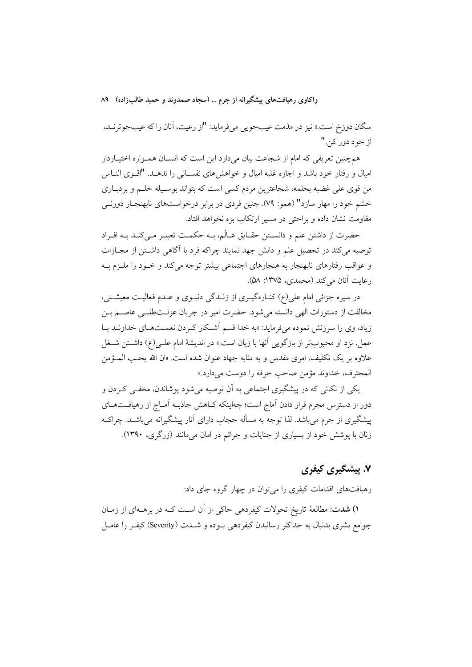سگان دوزخ است.» نیز در مذمت عیبجویی میفرماید: "از رعیت، آنان را که عیبجوترنـد، از خود دور کن."

همچنین تعریفی که امام از شجاعت بیان میدارد این است که انسـان همـواره اختیــاردار امیال و رفتار خود باشد و اجازه غلبه امیال و خواهشهای نفسـانی را ندهـد. "اقـوی النـاس من قوی علی غضبه بحلمه، شجاعترین مردم کسی است که بتواند بوسـیله حلــم و بردبــاری خشم خود را مهار سازد" (همو: ۷۹). چنین فردی در برابر درخواستهای نابهنجـار دورنــی مقاومت نشان داده و براحتی در مسیر ارتکاب بزه نخواهد افتاد.

حضرت از داشتن علم و دانسـتن حقـايق عـالَم، بـه حكمـت تعبيـر مـي كنـد بـه افـراد توصیه میکند در تحصیل علم و دانش جهد نمایند چراکه فرد با آگاهی داشــتن از مجــازات و عواقب رفتارهای نابهنجار به هنجارهای اجتماعی بیشتر توجه میکند و خـود را ملـزم بـه رعايت آنان مي كند (محمدي، ١٣٧۵: ۵۸).

در سیره جزائی امام علی(ع) کنـارهگیـری از زنـدگی دنیـوی و عـدم فعالیـت معیشـتی، مخالفت از دستورات الهی دانسته میشود. حضرت امیر در جریان عزلــتطلبــی عاصــم بــن زیاد، وی را سرزنش نموده میفرماید: «به خدا قسم آشکار کردن نعمتهای خداونـد بـا عمل، نزد او محبوبتر از بازگویی آنها با زبان است.» در اندیشهٔ امام علـی(ع) داشـتن شـغل علاوه بر يک تکليف، امري مقدس و به مثابه جهاد عنوان شده است. «ان الله يحـب المــؤمن المحترف، خداوند مؤمن صاحب حرفه را دوست مي دارد.»

یکی از نکاتی که در پیشگیری اجتماعی به آن توصیه میشود پوشاندن، مخفـی کـردن و دور از دسترس مجرم قرار دادن آماج است؛ چهاینکه کـاهش جاذبـه آمـاج از رهیافـتهـای پیشگیری از جرم میباشد. لذا توجه به مسأله حجاب دارای آثار پیشگیرانه میباشـد. چراکـه زنان با پوشش خود از بسیاری از جنایات و جرائم در امان میمانند (زرگری، ۱۳۹۰).

# ۷. پیشگیری کیفری

رهیافتهای اقدامات کیفری را می توان در چهار گروه جای داد:

۱) شدت: مطالعهٔ تاریخ تحولات کیفردهی حاکی از آن است کـه در برهـهای از زمـان جوامع بشري بدنبال به حداكثر رسانيدن كيفردهي بـوده و شــدت (Severity) كيفـر را عامــل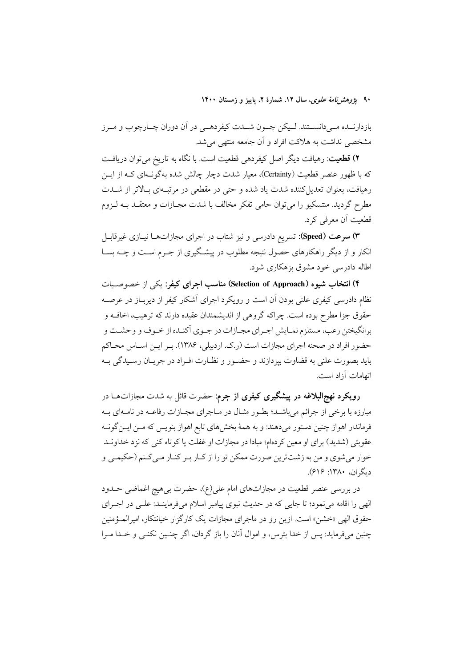۹۰ ی*ژوهش نامهٔ علوی*، سال ۱۲، شمارهٔ ۲، پاییز و زمستان ۱۴۰۰

بازدارنــده مــيدانســتند. لــيكن چــون شــدت كيفردهــي در آن دوران چــارچوب و مــرز مشخصی نداشت به هلاکت افراد و آن جامعه منتهی می شد.

۲) قطعیت: رهیافت دیگر اصل کیفردهی قطعیت است. با نگاه به تاریخ میتوان دریافت که با ظهور عنصر قطعیت (Certainty)، معیار شدت دچار چالش شده بهگونـهای کـه از ایــن رهیافت، بعنوان تعدیل کننده شدت یاد شده و حتی در مقطعی در مرتبهای بالاتر از شـدت مطرح گردید. منتسکیو را می توان حامی تفکر مخالف با شدت مجــازات و معتقــد بــه لــزوم قطعیت آن معرفی کرد.

۳) **سرعت (Speed**): تسریع دادرسی و نیز شتاب در اجرای مجازاتهــا نیــازی غیرقابــل انکار و از دیگر راهکارهای حصول نتیجه مطلوب در پیشگیری از جـرم اسـت و چــه بســا اطاله دادرسی خود مشوق بزهکاری شود.

۴) انتخاب شیوه (Selection of Approach) مناسب اجرای کیفر: یکی از خصوصیات نظام دادرسی کیفری علنی بودن آن است و رویکرد اجرای اَشکار کیفر از دیربـاز در عرصــه حقوق جزا مطرح بوده است. چراکه گروهی از اندیشمندان عقیده دارند که ترهیب، اخاف و برانگیختن رعب، مستلزم نمـایش اجـرای مجـازات در جـوی اَکنـده از خـوف و وحشــت و حضور افراد در صحنه اجراي مجازات است (ر.ک. اردبيلي، ۱۳۸۶). بـر ايـن اسـاس محـاكم بايد بصورت علني به قضاوت بيردازند و حضـور و نظـارت افـراد در جريــان رسـيدگي بــه اتهامات أزاد است.

**رویکرد نهج|لبلاغه در پیشگیری کیفری از جرم:** حضرت قائل به شدت مجازاتهــا در مبارزه با برخی از جرائم میباشـد؛ بطـور مثـال در مـاجرای مجـازات رفاعــه در نامــهای بــه فرماندار اهواز چنین دستور میدهند: و به همهٔ بخشهای تابع اهواز بنویس که مـن ایـنگونــه عقوبتی (شدید) برای او معین کردهام؛ مبادا در مجازات او غفلت یا کوتاه کنی که نزد خداونـد خوار میشوی و من به زشتترین صورت ممکن تو را از کـار بـر کنـار مـیکـنم (حکیمـی و دیگران، ۱۳۸۰: ۶۱۶).

در بررسی عنصر قطعیت در مجازاتهای امام علی(ع)، حضرت بی هیچ اغماضی حــدود الهی را اقامه می نمود؛ تا جایی که در حدیث نبوی پیامبر اسلام می فرماینـد: علـی در اجـرای حقوق الهي «خشن» است. ازين رو در ماجراي مجازات يک کارگزار خيانتکار، اميرالمـؤمنين چنین میفرماید: پس از خدا بترس، و اموال آنان را باز گردان، اگر چنـین نکنـی و خــدا مـرا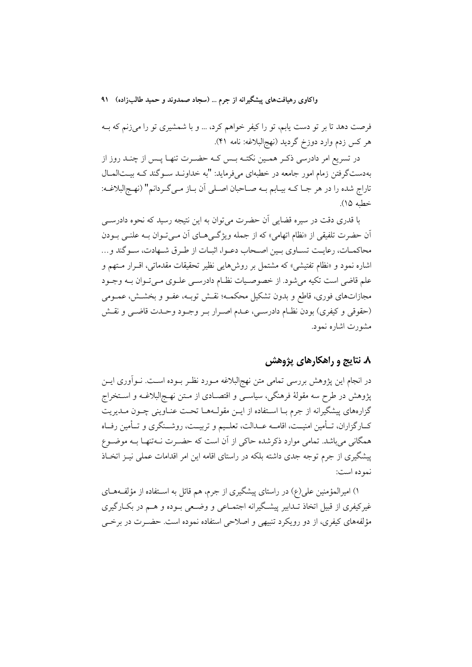فرصت دهد تا بر تو دست یابم، تو را کیفر خواهم کرد، … و با شمشیری تو را میزنم که بــه هر كس زدم وارد دوزخ گرديد (نهج|لبلاغه: نامه ۴۱).

در تسریع امر دادرسی ذکـر همـین نکتـه بـس کـه حضـرت تنهـا پـس از چنـد روز از بهدستگرفتن زمام امور جامعه در خطبهای میفرماید: "به خداونـد سـوگند کـه بیــتالمـال تاراج شده را در هر جـا كـه بيـابم بـه صـاحبان اصـلى أن بـاز مـى گـردانم" (نهـجالبلاغـه: خطبه ۱۵).

با قدری دقت در سیره قضایی آن حضرت میتوان به این نتیجه رسید که نحوه دادرسی آن حضرت تلفیقی از «نظام اتهامی» که از جمله ویژگیهای آن میتوان بـه علنـی بـودن محاكمـات، رعايـت تسـاوي بـين اصـحاب دعـوا، اثبـات از طـرق شـهادت، سـوكَند و... اشاره نمود و «نظام تفتیشی» که مشتمل بر روش هایی نظیر تحقیقات مقدماتی، اقـرار مـتهم و علم قاضي است تکيه مي شود. از خصوصيات نظـام دادرسـي علـوي مـي تـوان بـه وجـود مجازاتهای فوری، قاطع و بدون تشکیل محکمـه؛ نقـش توبـه، عفـو و بخشـش، عمـومی (حقوقي و كيفري) بودن نظـام دادرسـي، عـدم اصـرار بـر وجـود وحـدت قاضـي و نقـش مشورت اشاره نمود.

## ۸. نتایج و راهکارهای پژوهش

در انجام این پژوهش بررسی تمامی متن نهجالبلاغه مــورد نظــر بــوده اســت. نــواّوری ایــن پژوهش در طرح سه مقولهٔ فرهنگی، سیاسـی و اقتصـادی از مــتن نهـجالبلاغــه و اســتخراج گزارههای پیشگیرانه از جرم بـا اسـتفاده از ایــن مقولــههـا تحـت عنــاوینی چــون مــدیریت كــارگزاران، تــأمين امنيــت، اقامــه عــدالت، تعلــيم و تربيــت، روشــنگري و تــأمين رفــاه همگانی میباشد. تمامی موارد ذکرشده حاکی از آن است که حضـرت نــهتنهـا بــه موضــوع پیشگیری از جرم توجه جدی داشته بلکه در راستای اقامه این امر اقدامات عملی نیـز اتخـاذ نمو ده است:

۱) امیرالمؤمنین علی(ع) در راستای پیشگیری از جرم، هم قائل به اسـتفاده از مؤلفـههــای غیرکیفری از قبیل اتخاذ تـدابیر پیشـگیرانه اجتمــاعی و وضــعی بــوده و هــم در بکــارگیری مؤلفههای کیفری، از دو رویکرد تنبیهی و اصلاحی استفاده نموده است. حضـرت در برخــی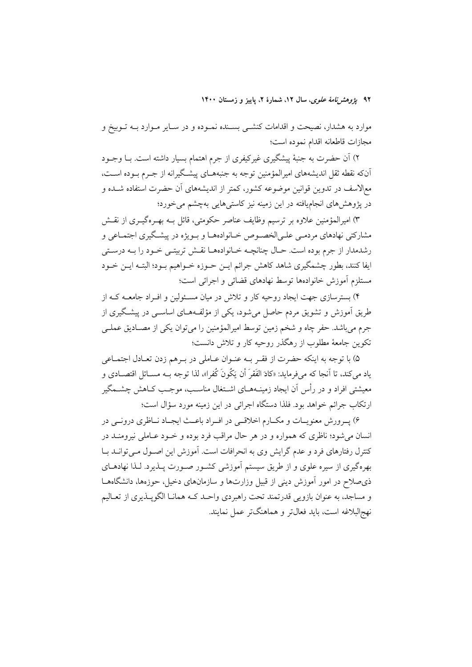۹۲ پ*ژوهشرنامهٔ علوی*، سال ۱۲، شمارهٔ ۲، پاییز و زمستان ۱۴۰۰

موارد به هشدار، نصیحت و اقدامات کنشــی بســنده نمــوده و در ســایر مــوارد بــه تــوبیخ و مجازات قاطعانه اقدام نموده است؛

۲) آن حضرت به جنبهٔ پیشگیری غیرکیفری از جرم اهتمام بسیار داشته است. بــا وجــود أنكه نقطه ثقل اندیشههای امیرالمؤمنین توجه به جنبههـای پیشـگیرانه از جـرم بـوده اسـت، مع|لاسف در تدوین قوانین موضوعه کشور، کمتر از اندیشههای آن حضرت استفاده شــده و در یژوهش های انجامیافته در این زمینه نیز کاستی هایی بهچشم می خورد؛

۳) امیرالمؤمنین علاوه بر ترسیم وظایف عناصر حکومتی، قائل بـه بهـرهگیــری از نقــش مشارکتی نهادهای مردمـی علـیالخصـوص خـانوادههـا و بـویژه در پیشـگیری اجتمـاعی و رشدمدار از جرم بوده است. حـال چنانچــه خــانوادههــا نقـش تربيتــي خــود را بــه درســتي ايفا كنند، بطور چشمگيري شاهد كاهش جرائم ايــن حــوزه خــواهيم بــود؛ البتــه ايــن خــود مستلزم آموزش خانوادهها توسط نهادهاى قضائى و اجرائى است؛

۴) بسترسازی جهت ایجاد روحیه کار و تلاش در میان مسـئولین و افـراد جامعــه کــه از طریق آموزش و تشویق مردم حاصل می شود، یکی از مؤلفههـای اساســی در پیشــگیری از جرم میباشد. حفر چاه و شخم زمین توسط امیرالمؤمنین را میتوان یکی از مصـادیق عملـی تکوین جامعهٔ مطلوب از رهگذر روحیه کار و تلاش دانست؛

۵) با توجه به اینکه حضرت از فقـر بـه عنـوان عـاملی در بـرهم زدن تعـادل اجتمـاعی ياد مي كند، تا اّنجا كه ميفرمايد: «كادَ الفَقرَ أن يَكُونَ كُفرا»، لذا توجه بــه مســائل اقتصــادي و معیشتی افراد و در رأس آن ایجاد زمینــههــای اشــتغال مناســب، موجــب کــاهش چشــمگیر ارتکاب جرائم خواهد بود. فلذا دستگاه اجرائی در این زمینه مورد سؤال است؛

۶) پـرورش معنويـات و مكـارم اخلاقــي در افــراد باعــث ايجـاد نــاظري درونــي در انسان می شود؛ ناظری که همواره و در هر حال مراقب فرد بوده و خـود عـاملی نیرومنــد در کنترل رفتارهای فرد و عدم گرایش وی به انحرافات است. آموزش این اصـول مـیتوانــد بــا بهرهگیری از سیره علوی و از طریق سیستم آموزشی کشـور صـورت پــذیرد. لــذا نهادهــای ذي صلاح در امور آموزش ديني از قبيل وزارتها و سازمانهاي دخيل، حوزهها، دانشگاههــا و مساجد، به عنوان بازويي قدرتمند تحت راهبردي واحـد كـه همانـا الگوپـذيري از تعـاليم نهج|لبلاغه است، بايد فعالتر و هماهنگتر عمل نمايند.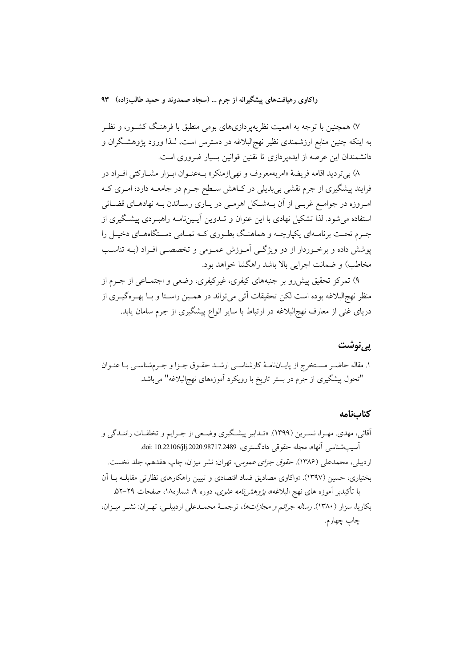۷) همچنین با توجه به اهمیت نظریهپردازیهای بومی منطبق با فرهنگ کشـور، و نظـر به اینکه چنین منابع ارزشمندی نظیر نهج|لبلاغه در دسترس است، لـذا ورود پژوهشـگران و دانشمندان این عرصه از ایدهپردازی تا تقنین قوانین بسیار ضروری است.

۸) بي ترديد اقامه فريضهٔ «امربهمعروف و نهي(زمنكر» بــهعنــوان ابــزار مشــاركتي افــراد در فرایند پیشگیری از جرم نقشی بی بدیلی در کـاهش سـطح جــرم در جامعــه دارد؛ امــری کــه امروزه در جوامع غربـي از آن بــهشــکل اهرمـي در يــاري رســاندن بــه نهادهــاي قضــائي استفاده می شود. لذا تشکیل نهادی با این عنوان و تــدوین آیــینiامــه راهبــردی پیشــگیری از جـرم تحـت برنامـهاي يكپارچــه و هماهنـگ بطـوري كـه تمـامي دسـتگاههـاي دخيـل را پوشش داده و برخـوردار از دو ویژگـی آمـوزش عمـومی و تخصصـی افـراد (بــه تناسـب مخاطب) و ضمانت اجرایی بالا باشد راهگشا خواهد بود.

۹) تمرکز تحقیق پیش رو بر جنبههای کیفری، غیرکیفری، وضعی و اجتمــاعی از جــرم از منظر نهج|لبلاغه بوده است لکن تحقیقات اَتبی میٍتواند در همـین راسـتا و بـا بهـرهگیـری از دریای غنی از معارف نهج|لبلاغه در ارتباط با سایر انواع پیشگیری از جرم سامان یابد.

### <u>يي نوشت</u>

۱. مقاله حاضـر مسـتخرج از پايــانiامــهٔ كارشناســي ارشــد حقــوق جــزا و جــرمشناســي بــا عنــوان "تحول پیشگیری از جرم در بستر تاریخ با رویکرد آموزههای نهج البلاغه" می باشد.

#### كتابنامه

آقائی، مهدی<sub>.</sub> مهـرا، نسـرین (۱۳۹۹). «تـدابیر پیشـگیری وضـعی از جـرایم و تخلفـات راننـدگی و آسيب شناسي آنها»، مجله حقوقي دادگستري، 10.22106/jlj.2020.98717.2489. doi: 10.22106 اردبیلی، محمدعلی (۱۳۸۶). *حقوق جزای عمومی،* تهران: نشر میزان، چاپ هفدهم، جلد نخست. بختیاری، حسین (۱۳۹۷). «واکاوی مصادیق فساد اقتصادی و تبیین راهکارهای نظارتی مقابلـه بــا آن با تأکیدبر آموزه های نهج البلاغه»، *پژوهشنامه علوی*، دوره ۹، شماره۱۸، صفحات ۲۹–۵۲. بكاريا، سزار (۱۳۸۰). *رساله جرائم و مجازاتها*، ترجمـهٔ محمـدعلى اردبيلـي، تهـران: نشـر ميـزان، چاپ چهارم.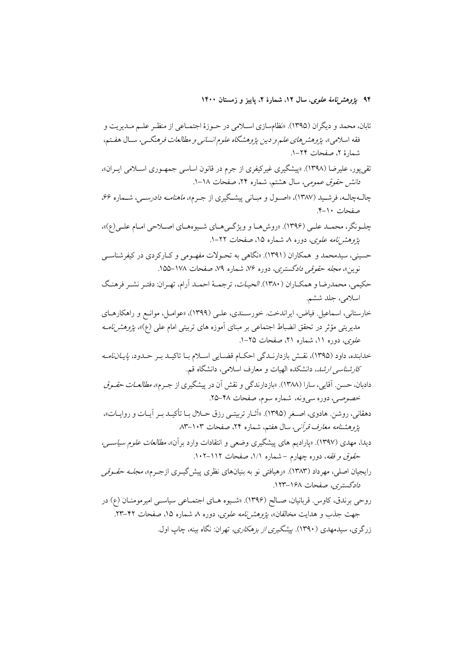۹۴ پ*ژوهشرنامهٔ علوی*، سال ۱۲، شمارهٔ ۲، پاییز و زمستان ۱۴۰۰

- تقي يور، عليرضا (١٣٩٨). «پيشگيري غيركيفري از جرم در قانون اساسي جمهـوري اســلامي ايـران»، د*انش حقوق عمومی، سال هشتم*، شماره ۲۴، صفحات ۱۸–۱.
- چال4چالـه، فرشـيد (١٣٨٧)، «اصـول و مبـاني پيشـگيري از جـرم»، *ماهنامـه دادرسـي*، شــماره ۶۶، صفحات ١٠-۴.
- چلونگر، محمـد علـي (۱۳۹۶). «روش هـا و ويژگـي هـاي شـيوههـاي اصـلاحي امـام علـي(ع)»، یژ*وهش نامه علوی، دو*ره ۸ شماره ۱۵، صفحات ۲۲–۱.
- حسینی، سیدمحمد و همکاران (۱۳۹۱). «نگاهی به تحـولات مفهـومی و کــارکردی در کیفرشناســی نوين»، *مجله حقوقي دادگستري*، دوره ۷۶، شماره ۷۹، صفحات ۱۷۸–۱۵۵.
- حکیمی، محمدرضا و همکباران (۱۳۸۰). *الحیبات*، ترجمیهٔ احمید آرام، تهران: دفتیر نشیر فرهنگ اسلامي، جلد ششم.
- خارستاني، اسماعيل. فياض، ايراندخت. خورسـندي، علـي (١٣٩٩)، «عوامـل، موانـع و راهكارهـاي مدیریتی مؤثر در تحقق انضباط اجتماعی بر مبنای آموزه های تربیتی امام علی (ع)»، *پژوهشنامــه* ع*لوی، دوره ۱۱، شماره ۲۱، صفحات ۲۵–۱.*
- خدابنده، داود (۱۳۹۵)، نقش بازدارنـدگی احکـام قضـایی اسـلام بـا تاکیـد بـر حـدود، *پایــاننامــه کارشناسی ارشد*، دانشکده الهیات و معارف اسلامی، دانشگاه قم.
- دادبان، حسن. آقایی، سارا (۱۳۸۸). «بازدارندگی و نقش آن در پیشگیری از جـرم»، *مطالعـات حقـوق* خصوصی، دوره سی ونه، شماره سوم، صفحات ۴۸–۲۵.
- دهقانی، روشن. هادوی، اصـغر (۱۳۹۵). «آثــار تربیتــی رزق حـــلال بــا تأکیــد بــر آیــات و روایــات»، يژوهشنامه معارف قرآني، سال هفتم، شماره ٢۴، صفحات ١٠٣-٨٣
- دیدا، مهدی (۱۳۹۷). «پارادیم های پیشگیری وضعی و انتقادات وارد برآن»، *مطالعات علوم سیاسی، حقوق و فقه*، دوره چهارم – شماره ۰/۱) صفحات ۱۱۲–۱۰۲.
- رایجیان اصلی، مهرداد (۱۳۸۳). «رهیافتی نو به بنیانهای نظری پیش گیــری ازجــرم»، *مجلــه حقــوقی* دادگستری، صفحات ۱۶۸–۱۲۳.
- روحی برندق، کاوس قربانیان، صـالح (۱۳۹۶). «شـیوه هـای اجتمـاعی سیاسـی امیرمومنـان (ع) در جهت جذب و هدایت مخالفان»، *پژوهشنامه علوی، دو*ره ۸ شماره ۱۵، صفحات ۴۲-۲۳. زرگري، سيدمهدي (١٣٩٠). بيشگيري *از بزهكاري*، تهران: نگاه بينه، چاپ اول.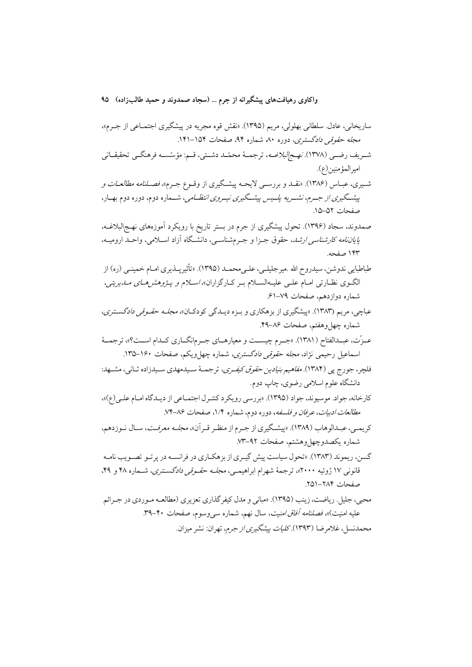ساريخاني، عادل. سلطاني بهلولي، مريم (١٣٩۵). «نقش قوه مجريه در پيشگيري اجتمــاعي از جـرم»، مجله حقوقی دادگستری، دوره ۸۰ شماره ۹۴، صفحات ۱۵۴–۱۴۱. شىريف رضىي (١٣٧٨). *نهـجالبلاغــه*، ترجمــهٔ محمّــد دشــتى، قــم: مؤسّســـه فرهنگــى تحقيقــاتى امير المؤمنين(ع). شـيري، عبــاس (١٣٨۶). «نقــد و بررســي لايحــه پيشــگيري از وقــوع جــرم»، *فصــلنامه مطالعــات و* پیشگیری *از ج*رم، نشـر *یه پلـیس پیشـگیری نیـروی انتظـامی،* شـماره دوم، دوره دوم بهـار، صفحات ۵۲–۱۵. صمدوند، سجاد (۱۳۹۶). تحول پیشگیری از جرم در بستر تاریخ با رویکرد آموزههای نهـج|لبلاغــه، *پایاننامه کارشناسی ارشد*، حقوق جـزا و جـرمشناسـی، دانشـگاه آزاد اسـلامی، واحـد ارومیـه، ۱۴۳ صفحه. طباطبایی ندوشن، سیدروح الله .میرجلیلـی، علـیbحمـد (۱۳۹۵). «تأثیرپــذیری امــام خمینــی (ره) از الگوی نظارتی امـام علـی علیـهالسـلام بـر کـارگزاران»، *اسـلام و پـژوهشرهـای مــاـیریتی*، شماره دوازدهم، صفحات ۷۹–۶۱٪ عباچي، مريم (۱۳۸۳). «پيشگيري از بزهکاري و بـزه ديــدگي کودکــان»، *مجلــه حقـوقي دادگســتري*، شماره چهل وهفتم، صفحات ۸۶–۴۹. عـزّت، عبــدالفتاح (١٣٨١). «جــرم چيســت و معيارهــاي جــرمانگــاري كــدام اســت؟»، ترجمــهٔ اسماعیل رحیمی نژاد، *مجله حقوقی دادگستری،* شماره چهل ویکم، صفحات ۱۶۰–۱۳۵. فلچر، جورج یی (۱۳۸۴). *مفاهیم بنیادین حقوق کیفری*، ترجمـهٔ سـیدمهدی سـیدزاده ثـانی، مشـهد: دانشگاه علوم اسلامی رضوی، چاپ دوم. کارخانه، جواد. موسیوند، جواد (۱۳۹۵). «بررسی رویکرد کنتـرل اجتمــاعی از دیــدگاه امــام علــی(ع)»، مطالعات ادبيات، عرفان و فلسفه، دوره دوم، شماره ١/٤، صفحات ٨٤-٧٤. كريمـي، عبـدالوهاب (١٣٨٩). «پيشـگيري از جـرم از منظـر قـراًن»، *مجلـه معرفـت*، سـال نـوزدهم، شماره يكصدوچهلوهشتم، صفحات ٩٢–٧٣. گسن، ریموند (۱۳۸۳). «تحول سیاست پیش گیـری از بزهکـاری در فرانسـه در پر تـو تصـویب نامـه قانونی ۱۷ ژوئیه ۲۰۰۰»، ترجمهٔ شهرام ابراهیمـی، *مجلـه حقـوقی دادگسـتری*، شـماره ۴۸ و ۴۹، صفحات ٢٨۴–٢٥١. محبي، جليل. رياضت، زينب (١٣٩۵). «مباني و مدل كيفر گذاري تعزيري (مطالعــه مـو ردي در جـرائم عليه امنيت)»، *فصلنامه أفاق امنيت*، سال نهم، شماره س<sub>ح</sub>وسوم، صفحات ۴۰–۳۹. محمدنسل، غلامرضا (۱۳۹۳).كلي*ات پيشگيري از جرم*، تهران: نشر ميزان.